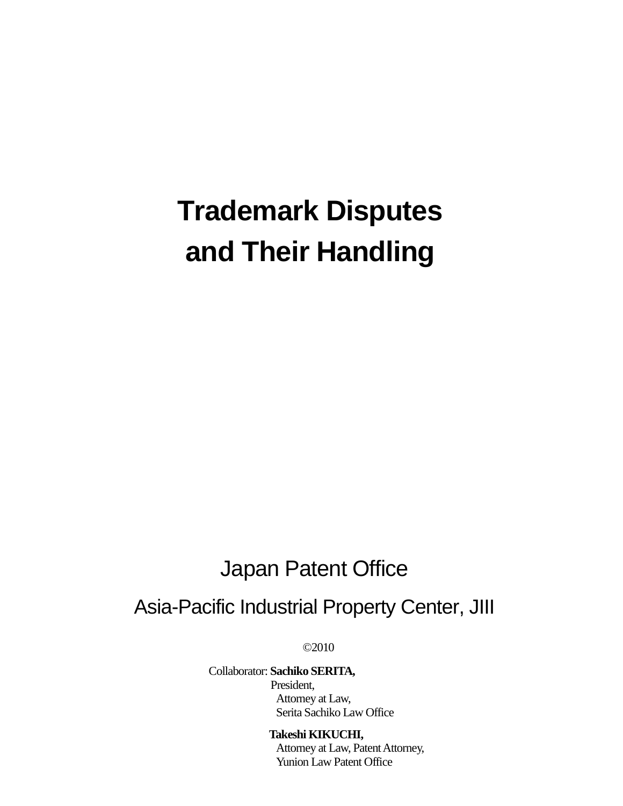# **Trademark Disputes and Their Handling**

# Japan Patent Office

# Asia-Pacific Industrial Property Center, JIII

©2010

Collaborator: **Sachiko SERITA,** President, Attorney at Law, Serita Sachiko Law Office

**Takeshi KIKUCHI,**

Attorney at Law, Patent Attorney, Yunion Law Patent Office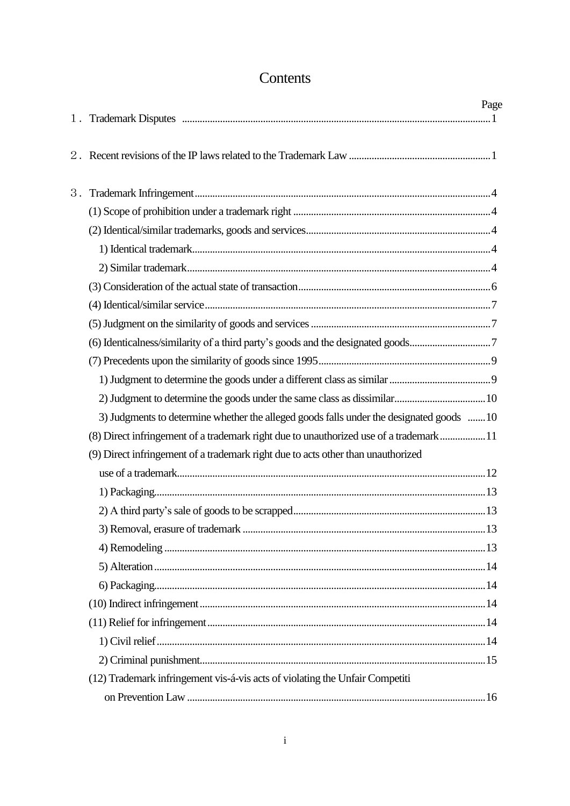# Contents

|    |                                                                                         | Page |
|----|-----------------------------------------------------------------------------------------|------|
| 1. |                                                                                         |      |
| 2. |                                                                                         |      |
| 3. |                                                                                         |      |
|    |                                                                                         |      |
|    |                                                                                         |      |
|    |                                                                                         |      |
|    |                                                                                         |      |
|    |                                                                                         |      |
|    |                                                                                         |      |
|    |                                                                                         |      |
|    |                                                                                         |      |
|    |                                                                                         |      |
|    |                                                                                         |      |
|    |                                                                                         |      |
|    | 3) Judgments to determine whether the alleged goods falls under the designated goods 10 |      |
|    | (8) Direct infringement of a trademark right due to unauthorized use of a trademark 11  |      |
|    | (9) Direct infringement of a trademark right due to acts other than unauthorized        |      |
|    |                                                                                         |      |
|    |                                                                                         |      |
|    |                                                                                         |      |
|    |                                                                                         |      |
|    |                                                                                         |      |
|    |                                                                                         |      |
|    |                                                                                         |      |
|    |                                                                                         |      |
|    |                                                                                         |      |
|    |                                                                                         |      |
|    |                                                                                         |      |
|    | (12) Trademark infringement vis-á-vis acts of violating the Unfair Competiti            |      |
|    |                                                                                         |      |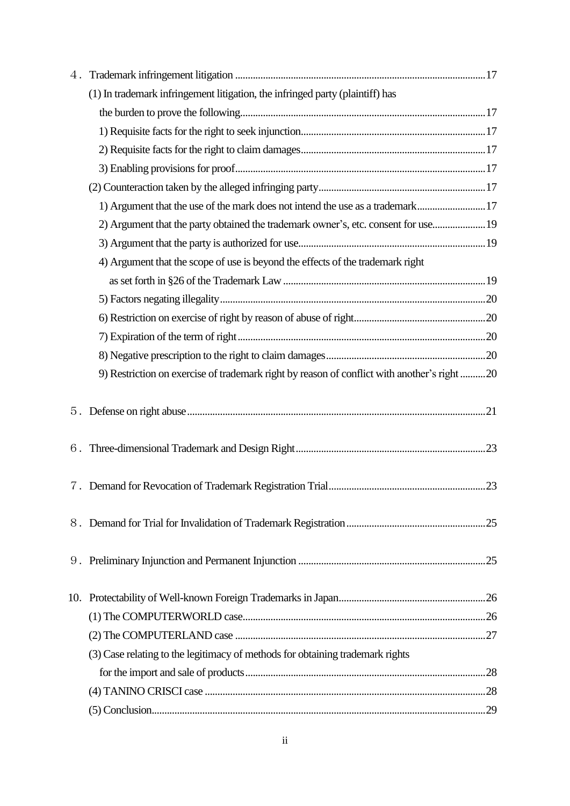|     | (1) In trademark infringement litigation, the infringed party (plaintiff) has               |  |
|-----|---------------------------------------------------------------------------------------------|--|
|     |                                                                                             |  |
|     |                                                                                             |  |
|     |                                                                                             |  |
|     |                                                                                             |  |
|     |                                                                                             |  |
|     | 17 Argument that the use of the mark does not intend the use as a trademark 17              |  |
|     | 2) Argument that the party obtained the trademark owner's, etc. consent for use 19          |  |
|     |                                                                                             |  |
|     | 4) Argument that the scope of use is beyond the effects of the trademark right              |  |
|     |                                                                                             |  |
|     |                                                                                             |  |
|     |                                                                                             |  |
|     |                                                                                             |  |
|     |                                                                                             |  |
|     | 9) Restriction on exercise of trademark right by reason of conflict with another's right 20 |  |
|     |                                                                                             |  |
| 6.  |                                                                                             |  |
|     |                                                                                             |  |
|     |                                                                                             |  |
|     |                                                                                             |  |
| 10. |                                                                                             |  |
|     |                                                                                             |  |
|     |                                                                                             |  |
|     | (3) Case relating to the legitimacy of methods for obtaining trademark rights               |  |
|     |                                                                                             |  |
|     |                                                                                             |  |
|     |                                                                                             |  |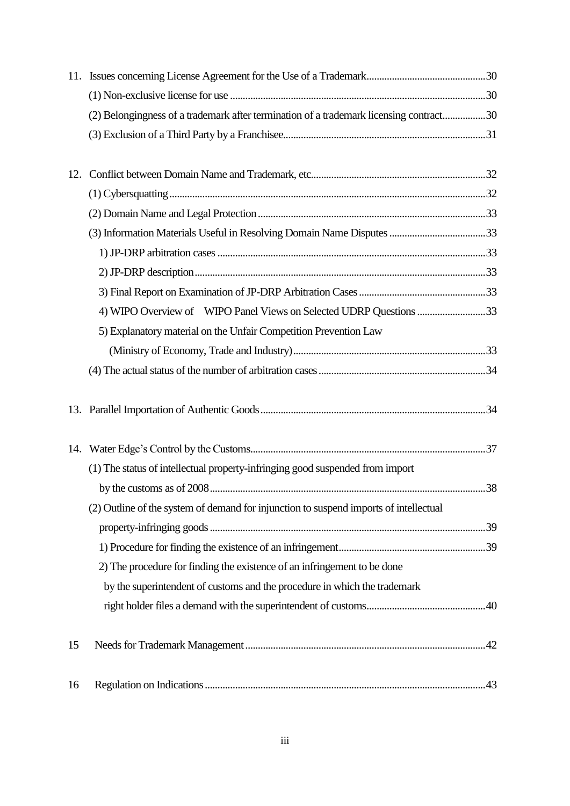|     | (2) Belongingness of a trademark after termination of a trademark licensing contract30 |  |
|-----|----------------------------------------------------------------------------------------|--|
|     |                                                                                        |  |
|     |                                                                                        |  |
| 12. |                                                                                        |  |
|     |                                                                                        |  |
|     |                                                                                        |  |
|     |                                                                                        |  |
|     |                                                                                        |  |
|     |                                                                                        |  |
|     |                                                                                        |  |
|     | 4) WIPO Overview of WIPO Panel Views on Selected UDRP Questions 33                     |  |
|     | 5) Explanatory material on the Unfair Competition Prevention Law                       |  |
|     |                                                                                        |  |
|     |                                                                                        |  |
|     |                                                                                        |  |
|     |                                                                                        |  |
|     |                                                                                        |  |
|     |                                                                                        |  |
|     | (1) The status of intellectual property-infringing good suspended from import          |  |
|     |                                                                                        |  |
|     | (2) Outline of the system of demand for injunction to suspend imports of intellectual  |  |
|     |                                                                                        |  |
|     |                                                                                        |  |
|     |                                                                                        |  |
|     | 2) The procedure for finding the existence of an infringement to be done               |  |
|     | by the superintendent of customs and the procedure in which the trademark              |  |
|     |                                                                                        |  |
|     |                                                                                        |  |
| 15  |                                                                                        |  |
|     |                                                                                        |  |
| 16  |                                                                                        |  |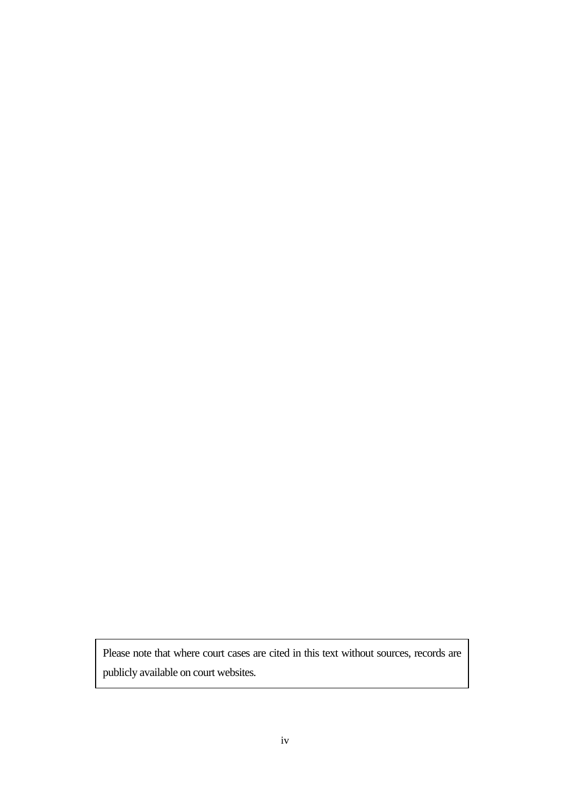Please note that where court cases are cited in this text without sources, records are publicly available on court websites.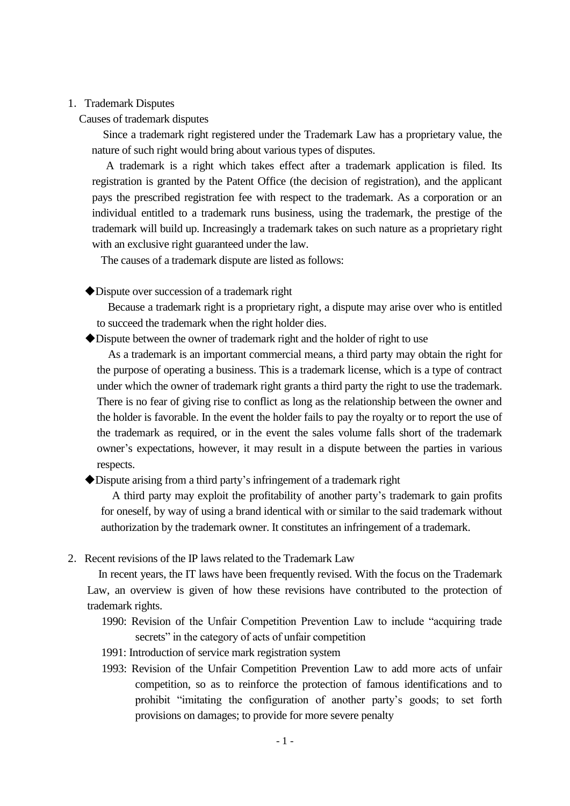# 1.Trademark Disputes

Causes of trademark disputes

Since a trademark right registered under the Trademark Law has a proprietary value, the nature of such right would bring about various types of disputes.

A trademark is a right which takes effect after a trademark application is filed. Its registration is granted by the Patent Office (the decision of registration), and the applicant pays the prescribed registration fee with respect to the trademark. As a corporation or an individual entitled to a trademark runs business, using the trademark, the prestige of the trademark will build up. Increasingly a trademark takes on such nature as a proprietary right with an exclusive right guaranteed under the law.

The causes of a trademark dispute are listed as follows:

◆Dispute over succession of a trademark right

Because a trademark right is a proprietary right, a dispute may arise over who is entitled to succeed the trademark when the right holder dies.

◆Dispute between the owner of trademark right and the holder of right to use

As a trademark is an important commercial means, a third party may obtain the right for the purpose of operating a business. This is a trademark license, which is a type of contract under which the owner of trademark right grants a third party the right to use the trademark. There is no fear of giving rise to conflict as long as the relationship between the owner and the holder is favorable. In the event the holder fails to pay the royalty or to report the use of the trademark as required, or in the event the sales volume falls short of the trademark owner"s expectations, however, it may result in a dispute between the parties in various respects.

◆Dispute arising from a third party"s infringement of a trademark right

A third party may exploit the profitability of another party"s trademark to gain profits for oneself, by way of using a brand identical with or similar to the said trademark without authorization by the trademark owner. It constitutes an infringement of a trademark.

2. Recent revisions of the IP laws related to the Trademark Law

In recent years, the IT laws have been frequently revised. With the focus on the Trademark Law, an overview is given of how these revisions have contributed to the protection of trademark rights.

- 1990: Revision of the Unfair Competition Prevention Law to include "acquiring trade secrets" in the category of acts of unfair competition
- 1991: Introduction of service mark registration system
- 1993: Revision of the Unfair Competition Prevention Law to add more acts of unfair competition, so as to reinforce the protection of famous identifications and to prohibit "imitating the configuration of another party"s goods; to set forth provisions on damages; to provide for more severe penalty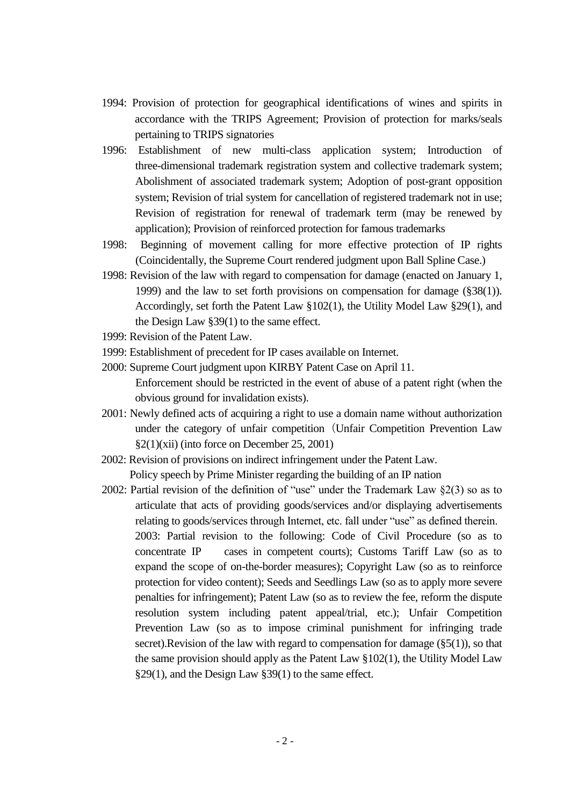- 1994: Provision of protection for geographical identifications of wines and spirits in accordance with the TRIPS Agreement; Provision of protection for marks/seals pertaining to TRIPS signatories
- 1996: Establishment of new multi-class application system; Introduction of three-dimensional trademark registration system and collective trademark system; Abolishment of associated trademark system; Adoption of post-grant opposition system; Revision of trial system for cancellation of registered trademark not in use; Revision of registration for renewal of trademark term (may be renewed by application); Provision of reinforced protection for famous trademarks
- 1998: Beginning of movement calling for more effective protection of IP rights (Coincidentally, the Supreme Court rendered judgment upon Ball Spline Case.)
- 1998: Revision of the law with regard to compensation for damage (enacted on January 1, 1999) and the law to set forth provisions on compensation for damage (§38(1)). Accordingly, set forth the Patent Law §102(1), the Utility Model Law §29(1), and the Design Law §39(1) to the same effect.
- 1999: Revision of the Patent Law.
- 1999: Establishment of precedent for IP cases available on Internet.
- 2000: Supreme Court judgment upon KIRBY Patent Case on April 11. Enforcement should be restricted in the event of abuse of a patent right (when the obvious ground for invalidation exists).
- 2001: Newly defined acts of acquiring a right to use a domain name without authorization under the category of unfair competition (Unfair Competition Prevention Law §2(1)(xii) (into force on December 25, 2001)
- 2002: Revision of provisions on indirect infringement under the Patent Law. Policy speech by Prime Minister regarding the building of an IP nation
- 2002: Partial revision of the definition of "use" under the Trademark Law §2(3) so as to articulate that acts of providing goods/services and/or displaying advertisements relating to goods/services through Internet, etc. fall under "use" as defined therein. 2003: Partial revision to the following: Code of Civil Procedure (so as to concentrate IP cases in competent courts); Customs Tariff Law (so as to expand the scope of on-the-border measures); Copyright Law (so as to reinforce protection for video content); Seeds and Seedlings Law (so as to apply more severe penalties for infringement); Patent Law (so as to review the fee, reform the dispute resolution system including patent appeal/trial, etc.); Unfair Competition Prevention Law (so as to impose criminal punishment for infringing trade secret).Revision of the law with regard to compensation for damage (§5(1)), so that the same provision should apply as the Patent Law §102(1), the Utility Model Law §29(1), and the Design Law §39(1) to the same effect.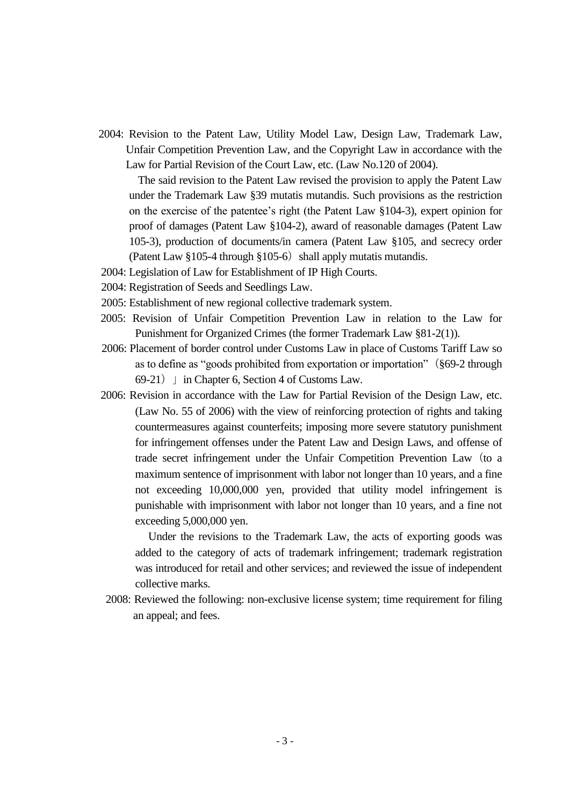2004: Revision to the Patent Law, Utility Model Law, Design Law, Trademark Law, Unfair Competition Prevention Law, and the Copyright Law in accordance with the Law for Partial Revision of the Court Law, etc. (Law No.120 of 2004).

The said revision to the Patent Law revised the provision to apply the Patent Law under the Trademark Law §39 mutatis mutandis. Such provisions as the restriction on the exercise of the patentee"s right (the Patent Law §104-3), expert opinion for proof of damages (Patent Law §104-2), award of reasonable damages (Patent Law 105-3), production of documents/in camera (Patent Law §105, and secrecy order (Patent Law  $§105-4$  through  $§105-6$ ) shall apply mutatis mutandis.

- 2004: Legislation of Law for Establishment of IP High Courts.
- 2004: Registration of Seeds and Seedlings Law.
- 2005: Establishment of new regional collective trademark system.
- 2005: Revision of Unfair Competition Prevention Law in relation to the Law for Punishment for Organized Crimes (the former Trademark Law §81-2(1)).
- 2006: Placement of border control under Customs Law in place of Customs Tariff Law so as to define as "goods prohibited from exportation or importation"(§69-2 through  $69-21$  | in Chapter 6, Section 4 of Customs Law.
- 2006: Revision in accordance with the Law for Partial Revision of the Design Law, etc. (Law No. 55 of 2006) with the view of reinforcing protection of rights and taking countermeasures against counterfeits; imposing more severe statutory punishment for infringement offenses under the Patent Law and Design Laws, and offense of trade secret infringement under the Unfair Competition Prevention Law(to a maximum sentence of imprisonment with labor not longer than 10 years, and a fine not exceeding 10,000,000 yen, provided that utility model infringement is punishable with imprisonment with labor not longer than 10 years, and a fine not exceeding 5,000,000 yen.

Under the revisions to the Trademark Law, the acts of exporting goods was added to the category of acts of trademark infringement; trademark registration was introduced for retail and other services; and reviewed the issue of independent collective marks.

2008: Reviewed the following: non-exclusive license system; time requirement for filing an appeal; and fees.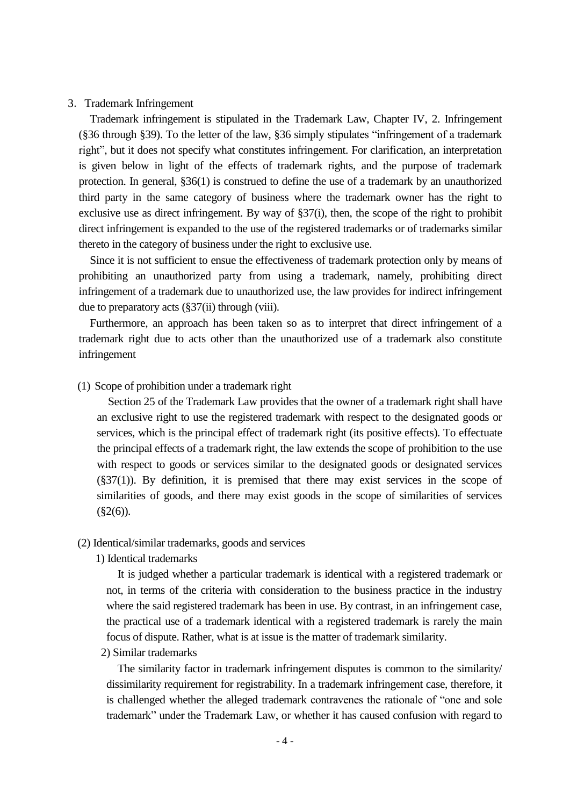# 3.Trademark Infringement

Trademark infringement is stipulated in the Trademark Law, Chapter IV, 2. Infringement (§36 through §39). To the letter of the law, §36 simply stipulates "infringement of a trademark right", but it does not specify what constitutes infringement. For clarification, an interpretation is given below in light of the effects of trademark rights, and the purpose of trademark protection. In general, §36(1) is construed to define the use of a trademark by an unauthorized third party in the same category of business where the trademark owner has the right to exclusive use as direct infringement. By way of §37(i), then, the scope of the right to prohibit direct infringement is expanded to the use of the registered trademarks or of trademarks similar thereto in the category of business under the right to exclusive use.

Since it is not sufficient to ensue the effectiveness of trademark protection only by means of prohibiting an unauthorized party from using a trademark, namely, prohibiting direct infringement of a trademark due to unauthorized use, the law provides for indirect infringement due to preparatory acts (§37(ii) through (viii).

Furthermore, an approach has been taken so as to interpret that direct infringement of a trademark right due to acts other than the unauthorized use of a trademark also constitute infringement

# (1) Scope of prohibition under a trademark right

Section 25 of the Trademark Law provides that the owner of a trademark right shall have an exclusive right to use the registered trademark with respect to the designated goods or services, which is the principal effect of trademark right (its positive effects). To effectuate the principal effects of a trademark right, the law extends the scope of prohibition to the use with respect to goods or services similar to the designated goods or designated services (§37(1)). By definition, it is premised that there may exist services in the scope of similarities of goods, and there may exist goods in the scope of similarities of services  $(\$2(6)).$ 

# (2) Identical/similar trademarks, goods and services

# 1) Identical trademarks

It is judged whether a particular trademark is identical with a registered trademark or not, in terms of the criteria with consideration to the business practice in the industry where the said registered trademark has been in use. By contrast, in an infringement case, the practical use of a trademark identical with a registered trademark is rarely the main focus of dispute. Rather, what is at issue is the matter of trademark similarity.

# 2) Similar trademarks

The similarity factor in trademark infringement disputes is common to the similarity/ dissimilarity requirement for registrability. In a trademark infringement case, therefore, it is challenged whether the alleged trademark contravenes the rationale of "one and sole trademark" under the Trademark Law, or whether it has caused confusion with regard to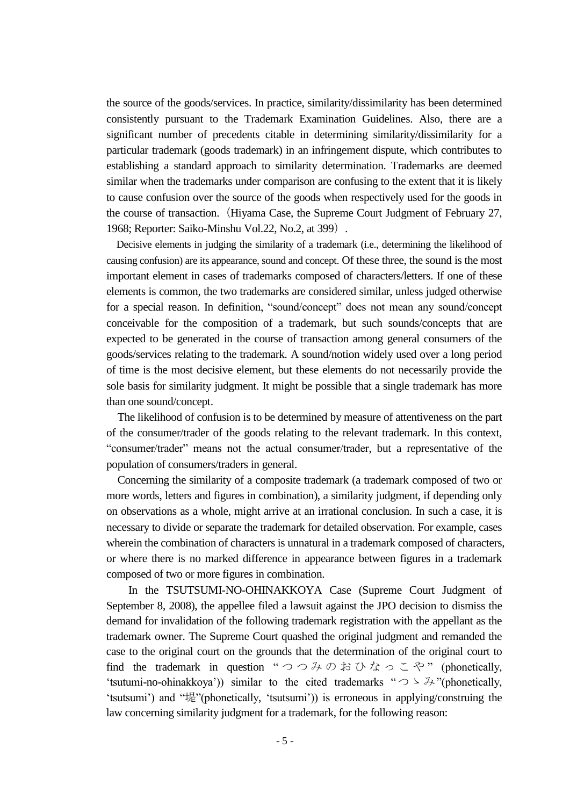the source of the goods/services. In practice, similarity/dissimilarity has been determined consistently pursuant to the Trademark Examination Guidelines. Also, there are a significant number of precedents citable in determining similarity/dissimilarity for a particular trademark (goods trademark) in an infringement dispute, which contributes to establishing a standard approach to similarity determination. Trademarks are deemed similar when the trademarks under comparison are confusing to the extent that it is likely to cause confusion over the source of the goods when respectively used for the goods in the course of transaction.(Hiyama Case, the Supreme Court Judgment of February 27, 1968; Reporter: Saiko-Minshu Vol.22, No.2, at 399).

Decisive elements in judging the similarity of a trademark (i.e., determining the likelihood of causing confusion) are its appearance, sound and concept. Of these three, the sound is the most important element in cases of trademarks composed of characters/letters. If one of these elements is common, the two trademarks are considered similar, unless judged otherwise for a special reason. In definition, "sound/concept" does not mean any sound/concept conceivable for the composition of a trademark, but such sounds/concepts that are expected to be generated in the course of transaction among general consumers of the goods/services relating to the trademark. A sound/notion widely used over a long period of time is the most decisive element, but these elements do not necessarily provide the sole basis for similarity judgment. It might be possible that a single trademark has more than one sound/concept.

The likelihood of confusion is to be determined by measure of attentiveness on the part of the consumer/trader of the goods relating to the relevant trademark. In this context, "consumer/trader" means not the actual consumer/trader, but a representative of the population of consumers/traders in general.

Concerning the similarity of a composite trademark (a trademark composed of two or more words, letters and figures in combination), a similarity judgment, if depending only on observations as a whole, might arrive at an irrational conclusion. In such a case, it is necessary to divide or separate the trademark for detailed observation. For example, cases wherein the combination of characters is unnatural in a trademark composed of characters, or where there is no marked difference in appearance between figures in a trademark composed of two or more figures in combination.

 In the TSUTSUMI-NO-OHINAKKOYA Case (Supreme Court Judgment of September 8, 2008), the appellee filed a lawsuit against the JPO decision to dismiss the demand for invalidation of the following trademark registration with the appellant as the trademark owner. The Supreme Court quashed the original judgment and remanded the case to the original court on the grounds that the determination of the original court to find the trademark in question " つつみのおひなっこや" (phonetically, 'tsutumi-no-ohinakkoya')) similar to the cited trademarks " $\supset \supset \mathcal{F}$ "(phonetically, "tsutsumi") and "堤"(phonetically, "tsutsumi")) is erroneous in applying/construing the law concerning similarity judgment for a trademark, for the following reason: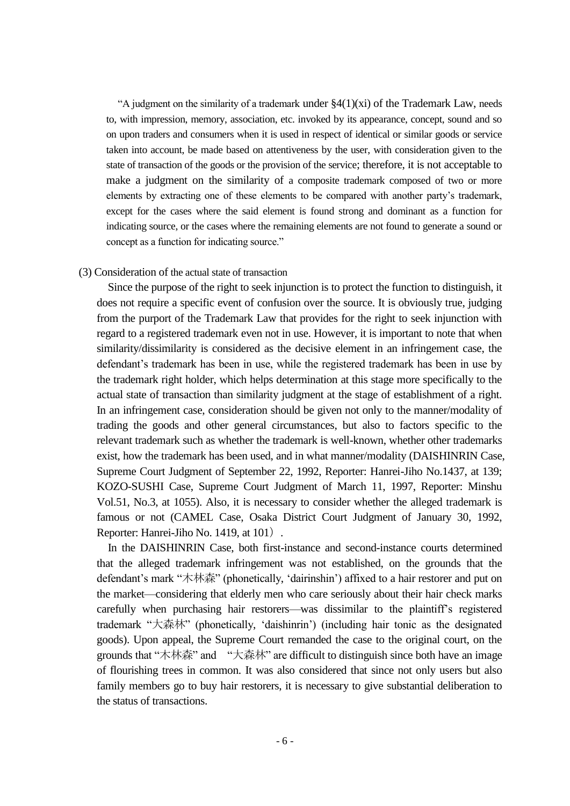"A judgment on the similarity of a trademark under  $\S4(1)(xi)$  of the Trademark Law, needs to, with impression, memory, association, etc. invoked by its appearance, concept, sound and so on upon traders and consumers when it is used in respect of identical or similar goods or service taken into account, be made based on attentiveness by the user, with consideration given to the state of transaction of the goods or the provision of the service; therefore, it is not acceptable to make a judgment on the similarity of a composite trademark composed of two or more elements by extracting one of these elements to be compared with another party"s trademark, except for the cases where the said element is found strong and dominant as a function for indicating source, or the cases where the remaining elements are not found to generate a sound or concept as a function for indicating source."

# (3) Consideration of the actual state of transaction

Since the purpose of the right to seek injunction is to protect the function to distinguish, it does not require a specific event of confusion over the source. It is obviously true, judging from the purport of the Trademark Law that provides for the right to seek injunction with regard to a registered trademark even not in use. However, it is important to note that when similarity/dissimilarity is considered as the decisive element in an infringement case, the defendant"s trademark has been in use, while the registered trademark has been in use by the trademark right holder, which helps determination at this stage more specifically to the actual state of transaction than similarity judgment at the stage of establishment of a right. In an infringement case, consideration should be given not only to the manner/modality of trading the goods and other general circumstances, but also to factors specific to the relevant trademark such as whether the trademark is well-known, whether other trademarks exist, how the trademark has been used, and in what manner/modality (DAISHINRIN Case, Supreme Court Judgment of September 22, 1992, Reporter: Hanrei-Jiho No.1437, at 139; KOZO-SUSHI Case, Supreme Court Judgment of March 11, 1997, Reporter: Minshu Vol.51, No.3, at 1055). Also, it is necessary to consider whether the alleged trademark is famous or not (CAMEL Case, Osaka District Court Judgment of January 30, 1992, Reporter: Hanrei-Jiho No. 1419, at 101).

In the DAISHINRIN Case, both first-instance and second-instance courts determined that the alleged trademark infringement was not established, on the grounds that the defendant's mark "木林森" (phonetically, 'dairinshin') affixed to a hair restorer and put on the market—considering that elderly men who care seriously about their hair check marks carefully when purchasing hair restorers—was dissimilar to the plaintiff"s registered trademark "大森林" (phonetically, "daishinrin") (including hair tonic as the designated goods). Upon appeal, the Supreme Court remanded the case to the original court, on the grounds that "木林森" and "大森林" are difficult to distinguish since both have an image of flourishing trees in common. It was also considered that since not only users but also family members go to buy hair restorers, it is necessary to give substantial deliberation to the status of transactions.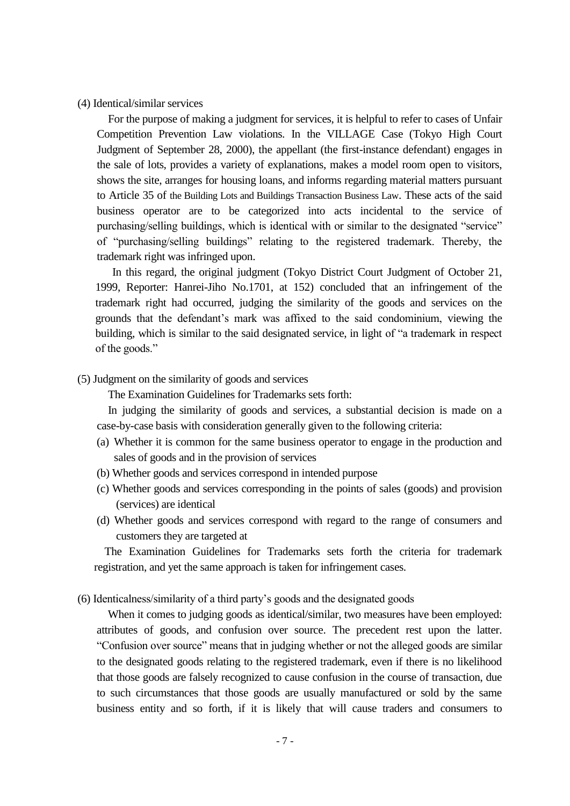# (4) Identical/similar services

For the purpose of making a judgment for services, it is helpful to refer to cases of Unfair Competition Prevention Law violations. In the VILLAGE Case (Tokyo High Court Judgment of September 28, 2000), the appellant (the first-instance defendant) engages in the sale of lots, provides a variety of explanations, makes a model room open to visitors, shows the site, arranges for housing loans, and informs regarding material matters pursuant to Article 35 of the Building Lots and Buildings Transaction Business Law. These acts of the said business operator are to be categorized into acts incidental to the service of purchasing/selling buildings, which is identical with or similar to the designated "service" of "purchasing/selling buildings" relating to the registered trademark. Thereby, the trademark right was infringed upon.

 In this regard, the original judgment (Tokyo District Court Judgment of October 21, 1999, Reporter: Hanrei-Jiho No.1701, at 152) concluded that an infringement of the trademark right had occurred, judging the similarity of the goods and services on the grounds that the defendant"s mark was affixed to the said condominium, viewing the building, which is similar to the said designated service, in light of "a trademark in respect of the goods."

(5) Judgment on the similarity of goods and services

The Examination Guidelines for Trademarks sets forth:

In judging the similarity of goods and services, a substantial decision is made on a case-by-case basis with consideration generally given to the following criteria:

- (a) Whether it is common for the same business operator to engage in the production and sales of goods and in the provision of services
- (b) Whether goods and services correspond in intended purpose
- (c) Whether goods and services corresponding in the points of sales (goods) and provision (services) are identical
- (d) Whether goods and services correspond with regard to the range of consumers and customers they are targeted at

The Examination Guidelines for Trademarks sets forth the criteria for trademark registration, and yet the same approach is taken for infringement cases.

(6) Identicalness/similarity of a third party"s goods and the designated goods

When it comes to judging goods as identical/similar, two measures have been employed: attributes of goods, and confusion over source. The precedent rest upon the latter. "Confusion over source" means that in judging whether or not the alleged goods are similar to the designated goods relating to the registered trademark, even if there is no likelihood that those goods are falsely recognized to cause confusion in the course of transaction, due to such circumstances that those goods are usually manufactured or sold by the same business entity and so forth, if it is likely that will cause traders and consumers to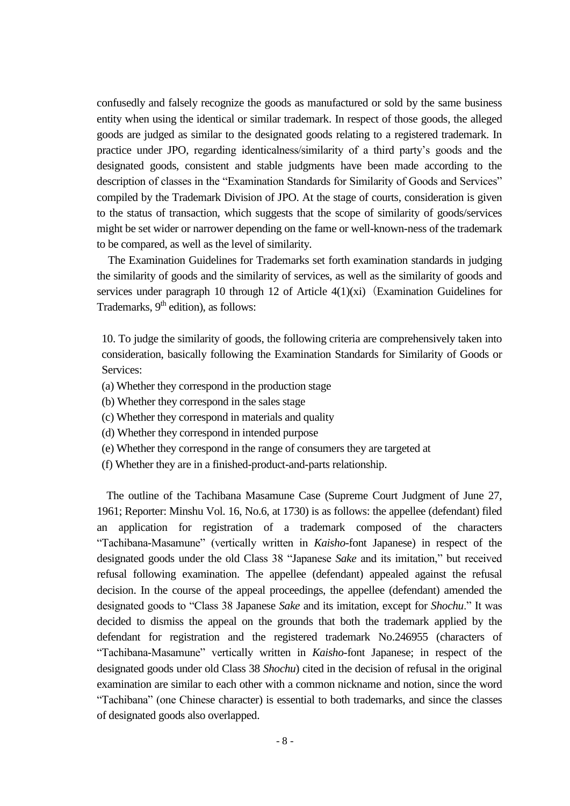confusedly and falsely recognize the goods as manufactured or sold by the same business entity when using the identical or similar trademark. In respect of those goods, the alleged goods are judged as similar to the designated goods relating to a registered trademark. In practice under JPO, regarding identicalness/similarity of a third party"s goods and the designated goods, consistent and stable judgments have been made according to the description of classes in the "Examination Standards for Similarity of Goods and Services" compiled by the Trademark Division of JPO. At the stage of courts, consideration is given to the status of transaction, which suggests that the scope of similarity of goods/services might be set wider or narrower depending on the fame or well-known-ness of the trademark to be compared, as well as the level of similarity.

The Examination Guidelines for Trademarks set forth examination standards in judging the similarity of goods and the similarity of services, as well as the similarity of goods and services under paragraph 10 through 12 of Article 4(1)(xi) (Examination Guidelines for Trademarks,  $9<sup>th</sup>$  edition), as follows:

10. To judge the similarity of goods, the following criteria are comprehensively taken into consideration, basically following the Examination Standards for Similarity of Goods or Services:

- (a) Whether they correspond in the production stage
- (b) Whether they correspond in the sales stage
- (c) Whether they correspond in materials and quality
- (d) Whether they correspond in intended purpose
- (e) Whether they correspond in the range of consumers they are targeted at
- (f) Whether they are in a finished-product-and-parts relationship.

The outline of the Tachibana Masamune Case (Supreme Court Judgment of June 27, 1961; Reporter: Minshu Vol. 16, No.6, at 1730) is as follows: the appellee (defendant) filed an application for registration of a trademark composed of the characters "Tachibana-Masamune" (vertically written in *Kaisho*-font Japanese) in respect of the designated goods under the old Class 38 "Japanese *Sake* and its imitation," but received refusal following examination. The appellee (defendant) appealed against the refusal decision. In the course of the appeal proceedings, the appellee (defendant) amended the designated goods to "Class 38 Japanese *Sake* and its imitation, except for *Shochu*." It was decided to dismiss the appeal on the grounds that both the trademark applied by the defendant for registration and the registered trademark No.246955 (characters of "Tachibana-Masamune" vertically written in *Kaisho*-font Japanese; in respect of the designated goods under old Class 38 *Shochu*) cited in the decision of refusal in the original examination are similar to each other with a common nickname and notion, since the word "Tachibana" (one Chinese character) is essential to both trademarks, and since the classes of designated goods also overlapped.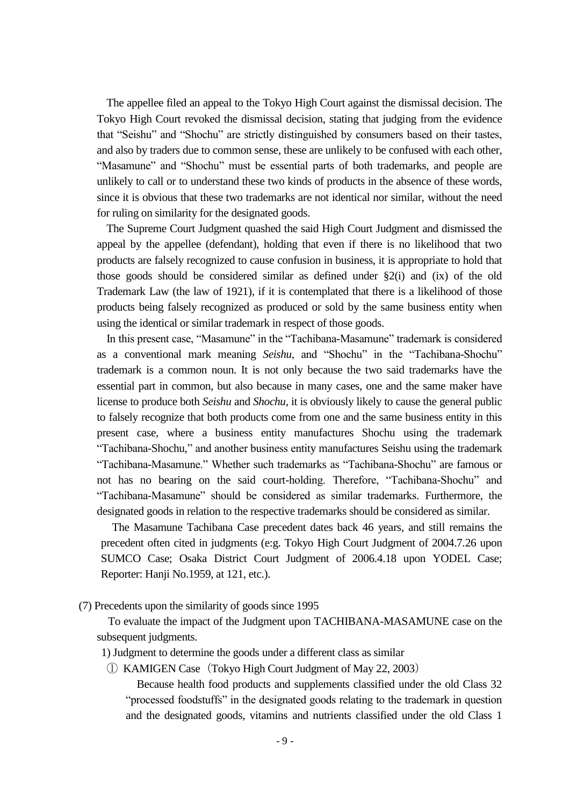The appellee filed an appeal to the Tokyo High Court against the dismissal decision. The Tokyo High Court revoked the dismissal decision, stating that judging from the evidence that "Seishu" and "Shochu" are strictly distinguished by consumers based on their tastes, and also by traders due to common sense, these are unlikely to be confused with each other, "Masamune" and "Shochu" must be essential parts of both trademarks, and people are unlikely to call or to understand these two kinds of products in the absence of these words, since it is obvious that these two trademarks are not identical nor similar, without the need for ruling on similarity for the designated goods.

The Supreme Court Judgment quashed the said High Court Judgment and dismissed the appeal by the appellee (defendant), holding that even if there is no likelihood that two products are falsely recognized to cause confusion in business, it is appropriate to hold that those goods should be considered similar as defined under  $\S2(i)$  and  $(ix)$  of the old Trademark Law (the law of 1921), if it is contemplated that there is a likelihood of those products being falsely recognized as produced or sold by the same business entity when using the identical or similar trademark in respect of those goods.

In this present case, "Masamune" in the "Tachibana-Masamune" trademark is considered as a conventional mark meaning *Seishu*, and "Shochu" in the "Tachibana-Shochu" trademark is a common noun. It is not only because the two said trademarks have the essential part in common, but also because in many cases, one and the same maker have license to produce both *Seishu* and *Shochu*, it is obviously likely to cause the general public to falsely recognize that both products come from one and the same business entity in this present case, where a business entity manufactures Shochu using the trademark "Tachibana-Shochu," and another business entity manufactures Seishu using the trademark "Tachibana-Masamune." Whether such trademarks as "Tachibana-Shochu" are famous or not has no bearing on the said court-holding. Therefore, "Tachibana-Shochu" and "Tachibana-Masamune" should be considered as similar trademarks. Furthermore, the designated goods in relation to the respective trademarks should be considered as similar.

The Masamune Tachibana Case precedent dates back 46 years, and still remains the precedent often cited in judgments (e:g. Tokyo High Court Judgment of 2004.7.26 upon SUMCO Case; Osaka District Court Judgment of 2006.4.18 upon YODEL Case; Reporter: Hanji No.1959, at 121, etc.).

(7) Precedents upon the similarity of goods since 1995

To evaluate the impact of the Judgment upon TACHIBANA-MASAMUNE case on the subsequent judgments.

1) Judgment to determine the goods under a different class as similar

① KAMIGEN Case(Tokyo High Court Judgment of May 22, 2003)

Because health food products and supplements classified under the old Class 32 "processed foodstuffs" in the designated goods relating to the trademark in question and the designated goods, vitamins and nutrients classified under the old Class 1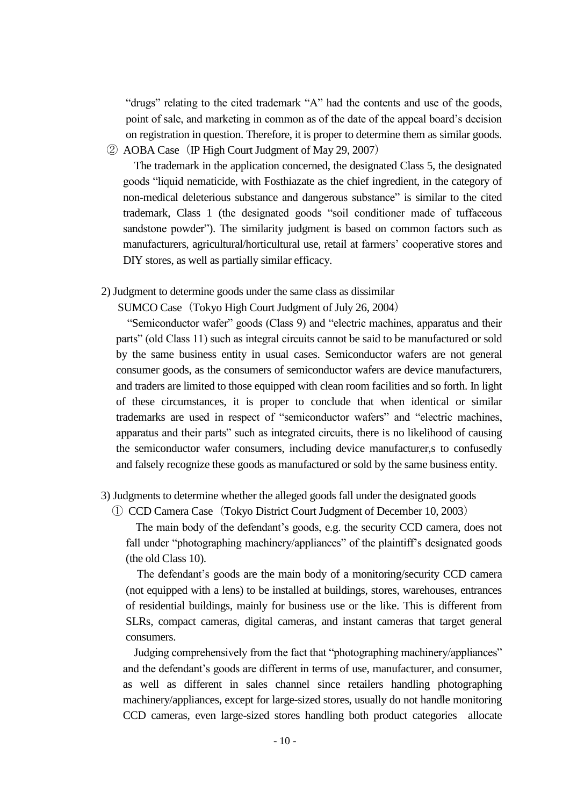"drugs" relating to the cited trademark "A" had the contents and use of the goods, point of sale, and marketing in common as of the date of the appeal board"s decision on registration in question. Therefore, it is proper to determine them as similar goods.

② AOBA Case(IP High Court Judgment of May 29, 2007)

The trademark in the application concerned, the designated Class 5, the designated goods "liquid nematicide, with Fosthiazate as the chief ingredient, in the category of non-medical deleterious substance and dangerous substance" is similar to the cited trademark, Class 1 (the designated goods "soil conditioner made of tuffaceous sandstone powder"). The similarity judgment is based on common factors such as manufacturers, agricultural/horticultural use, retail at farmers" cooperative stores and DIY stores, as well as partially similar efficacy.

2) Judgment to determine goods under the same class as dissimilar

SUMCO Case (Tokyo High Court Judgment of July 26, 2004)

"Semiconductor wafer" goods (Class 9) and "electric machines, apparatus and their parts" (old Class 11) such as integral circuits cannot be said to be manufactured or sold by the same business entity in usual cases. Semiconductor wafers are not general consumer goods, as the consumers of semiconductor wafers are device manufacturers, and traders are limited to those equipped with clean room facilities and so forth. In light of these circumstances, it is proper to conclude that when identical or similar trademarks are used in respect of "semiconductor wafers" and "electric machines, apparatus and their parts" such as integrated circuits, there is no likelihood of causing the semiconductor wafer consumers, including device manufacturer,s to confusedly and falsely recognize these goods as manufactured or sold by the same business entity.

- 3) Judgments to determine whether the alleged goods fall under the designated goods
	- ① CCD Camera Case(Tokyo District Court Judgment of December 10, 2003)

The main body of the defendant's goods, e.g. the security CCD camera, does not fall under "photographing machinery/appliances" of the plaintiff"s designated goods (the old Class 10).

The defendant's goods are the main body of a monitoring/security CCD camera (not equipped with a lens) to be installed at buildings, stores, warehouses, entrances of residential buildings, mainly for business use or the like. This is different from SLRs, compact cameras, digital cameras, and instant cameras that target general consumers.

Judging comprehensively from the fact that "photographing machinery/appliances" and the defendant"s goods are different in terms of use, manufacturer, and consumer, as well as different in sales channel since retailers handling photographing machinery/appliances, except for large-sized stores, usually do not handle monitoring CCD cameras, even large-sized stores handling both product categories allocate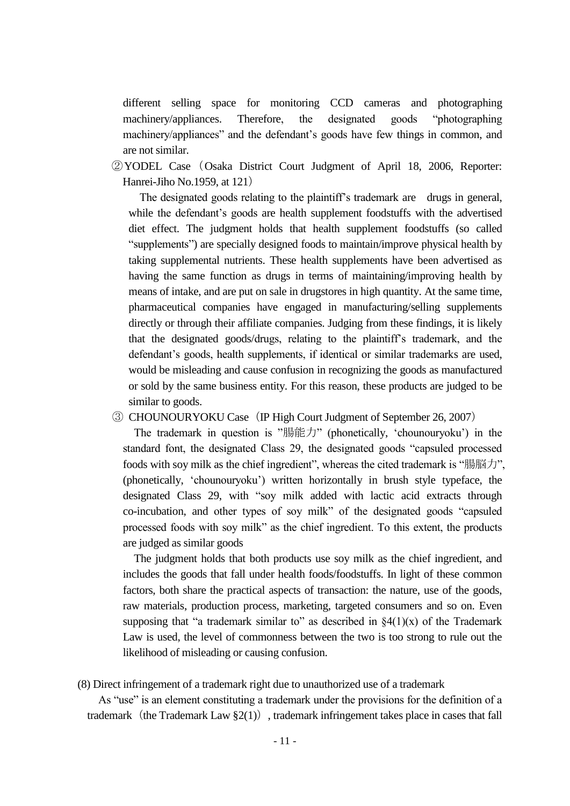different selling space for monitoring CCD cameras and photographing machinery/appliances. Therefore, the designated goods "photographing machinery/appliances" and the defendant"s goods have few things in common, and are not similar.

②YODEL Case(Osaka District Court Judgment of April 18, 2006, Reporter: Hanrei-Jiho No.1959, at 121)

The designated goods relating to the plaintiff"s trademark are drugs in general, while the defendant's goods are health supplement foodstuffs with the advertised diet effect. The judgment holds that health supplement foodstuffs (so called "supplements") are specially designed foods to maintain/improve physical health by taking supplemental nutrients. These health supplements have been advertised as having the same function as drugs in terms of maintaining/improving health by means of intake, and are put on sale in drugstores in high quantity. At the same time, pharmaceutical companies have engaged in manufacturing/selling supplements directly or through their affiliate companies. Judging from these findings, it is likely that the designated goods/drugs, relating to the plaintiff"s trademark, and the defendant"s goods, health supplements, if identical or similar trademarks are used, would be misleading and cause confusion in recognizing the goods as manufactured or sold by the same business entity. For this reason, these products are judged to be similar to goods.

③ CHOUNOURYOKU Case(IP High Court Judgment of September 26, 2007)

The trademark in question is "腸能力" (phonetically, "chounouryoku") in the standard font, the designated Class 29, the designated goods "capsuled processed foods with soy milk as the chief ingredient", whereas the cited trademark is "腸脳力", (phonetically, "chounouryoku") written horizontally in brush style typeface, the designated Class 29, with "soy milk added with lactic acid extracts through co-incubation, and other types of soy milk" of the designated goods "capsuled processed foods with soy milk" as the chief ingredient. To this extent, the products are judged as similar goods

The judgment holds that both products use soy milk as the chief ingredient, and includes the goods that fall under health foods/foodstuffs. In light of these common factors, both share the practical aspects of transaction: the nature, use of the goods, raw materials, production process, marketing, targeted consumers and so on. Even supposing that "a trademark similar to" as described in  $\S4(1)(x)$  of the Trademark Law is used, the level of commonness between the two is too strong to rule out the likelihood of misleading or causing confusion.

# (8) Direct infringement of a trademark right due to unauthorized use of a trademark

As "use" is an element constituting a trademark under the provisions for the definition of a trademark (the Trademark Law  $\S2(1)$ ), trademark infringement takes place in cases that fall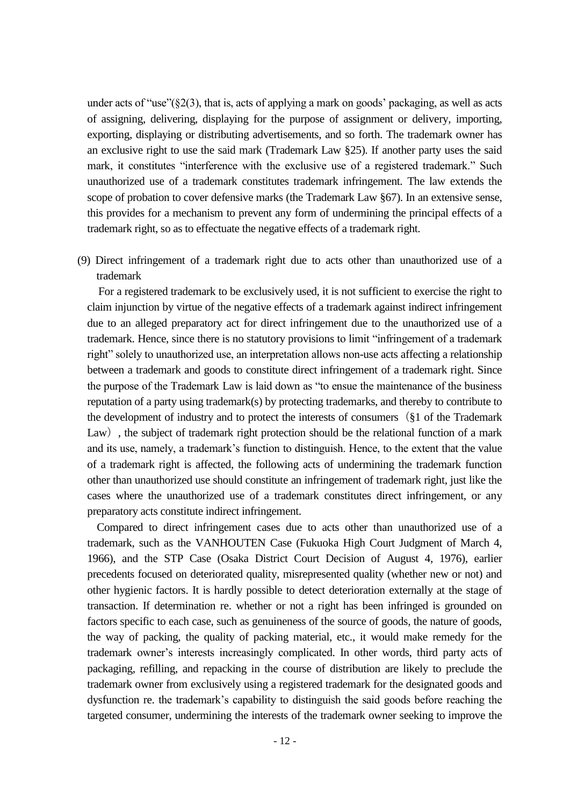under acts of "use" $(\S2(3))$ , that is, acts of applying a mark on goods' packaging, as well as acts of assigning, delivering, displaying for the purpose of assignment or delivery, importing, exporting, displaying or distributing advertisements, and so forth. The trademark owner has an exclusive right to use the said mark (Trademark Law §25). If another party uses the said mark, it constitutes "interference with the exclusive use of a registered trademark." Such unauthorized use of a trademark constitutes trademark infringement. The law extends the scope of probation to cover defensive marks (the Trademark Law §67). In an extensive sense, this provides for a mechanism to prevent any form of undermining the principal effects of a trademark right, so as to effectuate the negative effects of a trademark right.

(9) Direct infringement of a trademark right due to acts other than unauthorized use of a trademark

For a registered trademark to be exclusively used, it is not sufficient to exercise the right to claim injunction by virtue of the negative effects of a trademark against indirect infringement due to an alleged preparatory act for direct infringement due to the unauthorized use of a trademark. Hence, since there is no statutory provisions to limit "infringement of a trademark right" solely to unauthorized use, an interpretation allows non-use acts affecting a relationship between a trademark and goods to constitute direct infringement of a trademark right. Since the purpose of the Trademark Law is laid down as "to ensue the maintenance of the business reputation of a party using trademark(s) by protecting trademarks, and thereby to contribute to the development of industry and to protect the interests of consumers  $(\S1$  of the Trademark Law), the subject of trademark right protection should be the relational function of a mark and its use, namely, a trademark"s function to distinguish. Hence, to the extent that the value of a trademark right is affected, the following acts of undermining the trademark function other than unauthorized use should constitute an infringement of trademark right, just like the cases where the unauthorized use of a trademark constitutes direct infringement, or any preparatory acts constitute indirect infringement.

Compared to direct infringement cases due to acts other than unauthorized use of a trademark, such as the VANHOUTEN Case (Fukuoka High Court Judgment of March 4, 1966), and the STP Case (Osaka District Court Decision of August 4, 1976), earlier precedents focused on deteriorated quality, misrepresented quality (whether new or not) and other hygienic factors. It is hardly possible to detect deterioration externally at the stage of transaction. If determination re. whether or not a right has been infringed is grounded on factors specific to each case, such as genuineness of the source of goods, the nature of goods, the way of packing, the quality of packing material, etc., it would make remedy for the trademark owner"s interests increasingly complicated. In other words, third party acts of packaging, refilling, and repacking in the course of distribution are likely to preclude the trademark owner from exclusively using a registered trademark for the designated goods and dysfunction re. the trademark"s capability to distinguish the said goods before reaching the targeted consumer, undermining the interests of the trademark owner seeking to improve the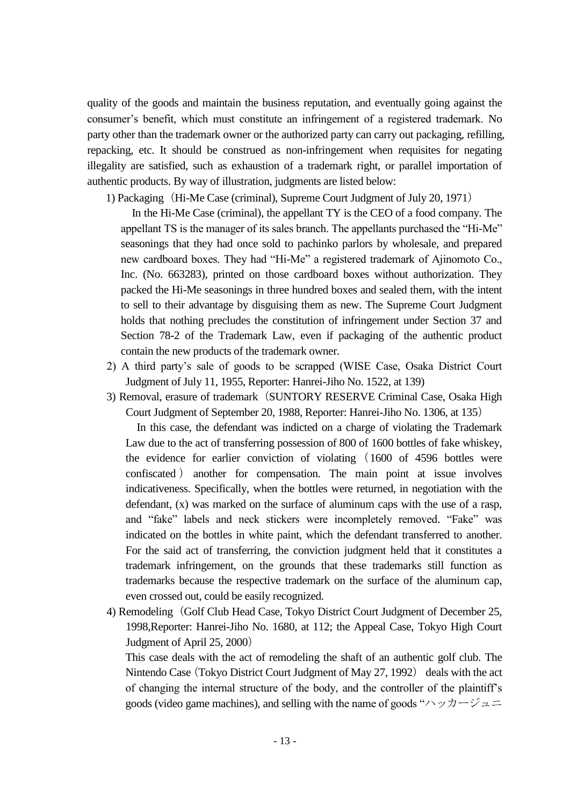quality of the goods and maintain the business reputation, and eventually going against the consumer"s benefit, which must constitute an infringement of a registered trademark. No party other than the trademark owner or the authorized party can carry out packaging, refilling, repacking, etc. It should be construed as non-infringement when requisites for negating illegality are satisfied, such as exhaustion of a trademark right, or parallel importation of authentic products. By way of illustration, judgments are listed below:

1) Packaging(Hi-Me Case (criminal), Supreme Court Judgment of July 20, 1971)

In the Hi-Me Case (criminal), the appellant TY is the CEO of a food company. The appellant TS is the manager of its sales branch. The appellants purchased the "Hi-Me" seasonings that they had once sold to pachinko parlors by wholesale, and prepared new cardboard boxes. They had "Hi-Me" a registered trademark of Ajinomoto Co., Inc. (No. 663283), printed on those cardboard boxes without authorization. They packed the Hi-Me seasonings in three hundred boxes and sealed them, with the intent to sell to their advantage by disguising them as new. The Supreme Court Judgment holds that nothing precludes the constitution of infringement under Section 37 and Section 78-2 of the Trademark Law, even if packaging of the authentic product contain the new products of the trademark owner.

- 2) A third party"s sale of goods to be scrapped (WISE Case, Osaka District Court Judgment of July 11, 1955, Reporter: Hanrei-Jiho No. 1522, at 139)
- 3) Removal, erasure of trademark(SUNTORY RESERVE Criminal Case, Osaka High Court Judgment of September 20, 1988, Reporter: Hanrei-Jiho No. 1306, at 135)

In this case, the defendant was indicted on a charge of violating the Trademark Law due to the act of transferring possession of 800 of 1600 bottles of fake whiskey, the evidence for earlier conviction of violating (1600 of 4596 bottles were confiscated ) another for compensation. The main point at issue involves indicativeness. Specifically, when the bottles were returned, in negotiation with the defendant, (x) was marked on the surface of aluminum caps with the use of a rasp, and "fake" labels and neck stickers were incompletely removed. "Fake" was indicated on the bottles in white paint, which the defendant transferred to another. For the said act of transferring, the conviction judgment held that it constitutes a trademark infringement, on the grounds that these trademarks still function as trademarks because the respective trademark on the surface of the aluminum cap, even crossed out, could be easily recognized.

4) Remodeling (Golf Club Head Case, Tokyo District Court Judgment of December 25, 1998,Reporter: Hanrei-Jiho No. 1680, at 112; the Appeal Case, Tokyo High Court Judgment of April 25, 2000)

This case deals with the act of remodeling the shaft of an authentic golf club. The Nintendo Case (Tokyo District Court Judgment of May  $27$ , 1992) deals with the act of changing the internal structure of the body, and the controller of the plaintiff"s goods (video game machines), and selling with the name of goods "ハッカージュニ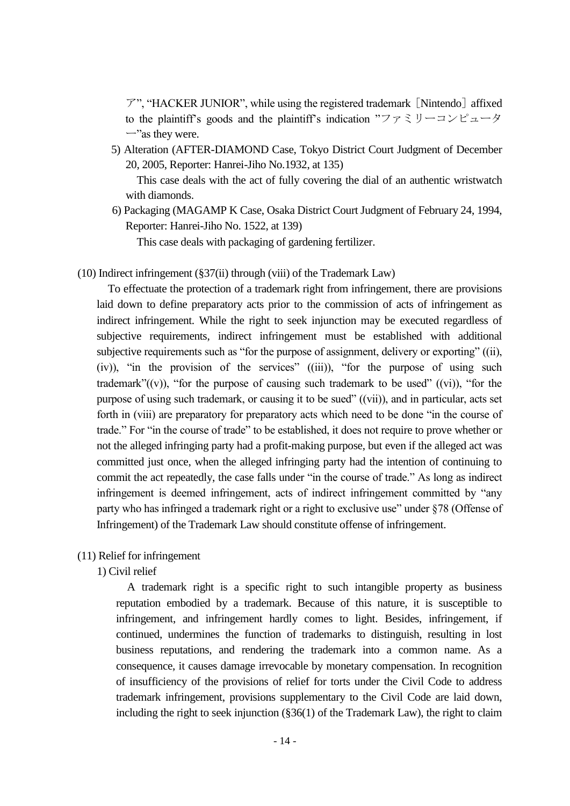$\mathcal{F}$ ", "HACKER JUNIOR", while using the registered trademark [Nintendo] affixed to the plaintiff's goods and the plaintiff's indication "ファミリーコンピュータ  $-$ "as they were.

5) Alteration (AFTER-DIAMOND Case, Tokyo District Court Judgment of December 20, 2005, Reporter: Hanrei-Jiho No.1932, at 135)

This case deals with the act of fully covering the dial of an authentic wristwatch with diamonds.

6) Packaging (MAGAMP K Case, Osaka District Court Judgment of February 24, 1994, Reporter: Hanrei-Jiho No. 1522, at 139)

This case deals with packaging of gardening fertilizer.

(10) Indirect infringement (§37(ii) through (viii) of the Trademark Law)

To effectuate the protection of a trademark right from infringement, there are provisions laid down to define preparatory acts prior to the commission of acts of infringement as indirect infringement. While the right to seek injunction may be executed regardless of subjective requirements, indirect infringement must be established with additional subjective requirements such as "for the purpose of assignment, delivery or exporting" ((ii), (iv)), "in the provision of the services" ((iii)), "for the purpose of using such trademark" $f(v)$ ), "for the purpose of causing such trademark to be used"  $f(vi)$ , "for the purpose of using such trademark, or causing it to be sued" ((vii)), and in particular, acts set forth in (viii) are preparatory for preparatory acts which need to be done "in the course of trade." For "in the course of trade" to be established, it does not require to prove whether or not the alleged infringing party had a profit-making purpose, but even if the alleged act was committed just once, when the alleged infringing party had the intention of continuing to commit the act repeatedly, the case falls under "in the course of trade." As long as indirect infringement is deemed infringement, acts of indirect infringement committed by "any party who has infringed a trademark right or a right to exclusive use" under §78 (Offense of Infringement) of the Trademark Law should constitute offense of infringement.

# (11) Relief for infringement

1) Civil relief

A trademark right is a specific right to such intangible property as business reputation embodied by a trademark. Because of this nature, it is susceptible to infringement, and infringement hardly comes to light. Besides, infringement, if continued, undermines the function of trademarks to distinguish, resulting in lost business reputations, and rendering the trademark into a common name. As a consequence, it causes damage irrevocable by monetary compensation. In recognition of insufficiency of the provisions of relief for torts under the Civil Code to address trademark infringement, provisions supplementary to the Civil Code are laid down, including the right to seek injunction (§36(1) of the Trademark Law), the right to claim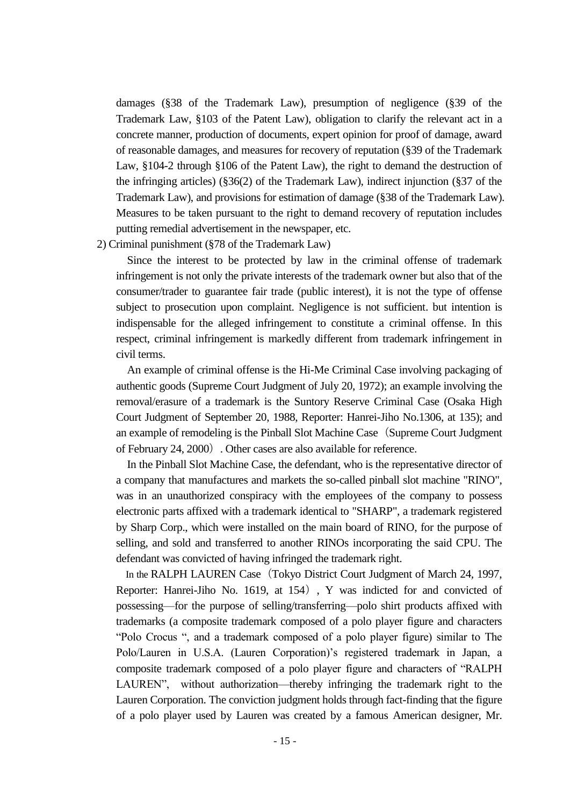damages (§38 of the Trademark Law), presumption of negligence (§39 of the Trademark Law, §103 of the Patent Law), obligation to clarify the relevant act in a concrete manner, production of documents, expert opinion for proof of damage, award of reasonable damages, and measures for recovery of reputation (§39 of the Trademark Law, §104-2 through §106 of the Patent Law), the right to demand the destruction of the infringing articles) (§36(2) of the Trademark Law), indirect injunction (§37 of the Trademark Law), and provisions for estimation of damage (§38 of the Trademark Law). Measures to be taken pursuant to the right to demand recovery of reputation includes putting remedial advertisement in the newspaper, etc.

2) Criminal punishment (§78 of the Trademark Law)

Since the interest to be protected by law in the criminal offense of trademark infringement is not only the private interests of the trademark owner but also that of the consumer/trader to guarantee fair trade (public interest), it is not the type of offense subject to prosecution upon complaint. Negligence is not sufficient. but intention is indispensable for the alleged infringement to constitute a criminal offense. In this respect, criminal infringement is markedly different from trademark infringement in civil terms.

An example of criminal offense is the Hi-Me Criminal Case involving packaging of authentic goods (Supreme Court Judgment of July 20, 1972); an example involving the removal/erasure of a trademark is the Suntory Reserve Criminal Case (Osaka High Court Judgment of September 20, 1988, Reporter: Hanrei-Jiho No.1306, at 135); and an example of remodeling is the Pinball Slot Machine Case(Supreme Court Judgment of February 24, 2000). Other cases are also available for reference.

In the Pinball Slot Machine Case, the defendant, who is the representative director of a company that manufactures and markets the so-called pinball slot machine "RINO", was in an unauthorized conspiracy with the employees of the company to possess electronic parts affixed with a trademark identical to "SHARP", a trademark registered by Sharp Corp., which were installed on the main board of RINO, for the purpose of selling, and sold and transferred to another RINOs incorporating the said CPU. The defendant was convicted of having infringed the trademark right.

In the RALPH LAUREN Case (Tokyo District Court Judgment of March 24, 1997, Reporter: Hanrei-Jiho No. 1619, at 154), Y was indicted for and convicted of possessing—for the purpose of selling/transferring—polo shirt products affixed with trademarks (a composite trademark composed of a polo player figure and characters "Polo Crocus ", and a trademark composed of a polo player figure) similar to The Polo/Lauren in U.S.A. (Lauren Corporation)'s registered trademark in Japan, a composite trademark composed of a polo player figure and characters of "RALPH LAUREN", without authorization—thereby infringing the trademark right to the Lauren Corporation. The conviction judgment holds through fact-finding that the figure of a polo player used by Lauren was created by a famous American designer, Mr.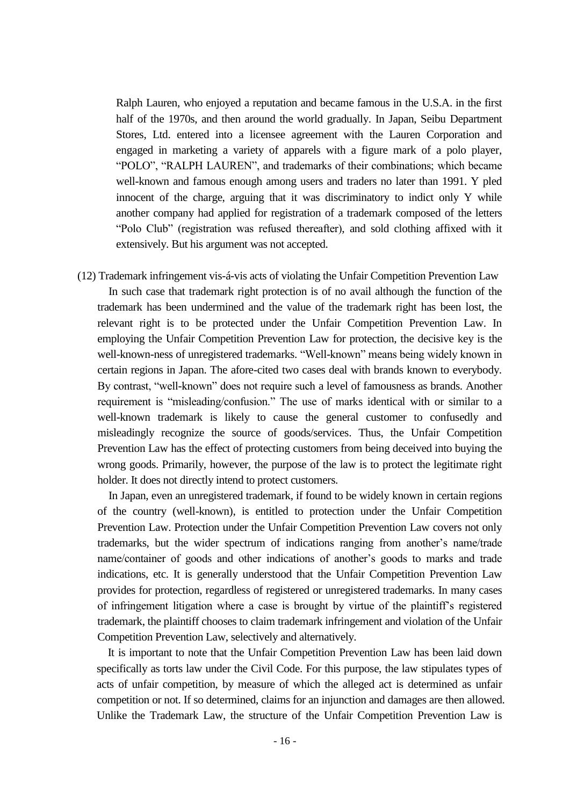Ralph Lauren, who enjoyed a reputation and became famous in the U.S.A. in the first half of the 1970s, and then around the world gradually. In Japan, Seibu Department Stores, Ltd. entered into a licensee agreement with the Lauren Corporation and engaged in marketing a variety of apparels with a figure mark of a polo player, "POLO", "RALPH LAUREN", and trademarks of their combinations; which became well-known and famous enough among users and traders no later than 1991. Y pled innocent of the charge, arguing that it was discriminatory to indict only Y while another company had applied for registration of a trademark composed of the letters "Polo Club" (registration was refused thereafter), and sold clothing affixed with it extensively. But his argument was not accepted.

(12) Trademark infringement vis-á-vis acts of violating the Unfair Competition Prevention Law In such case that trademark right protection is of no avail although the function of the trademark has been undermined and the value of the trademark right has been lost, the relevant right is to be protected under the Unfair Competition Prevention Law. In employing the Unfair Competition Prevention Law for protection, the decisive key is the well-known-ness of unregistered trademarks. "Well-known" means being widely known in certain regions in Japan. The afore-cited two cases deal with brands known to everybody. By contrast, "well-known" does not require such a level of famousness as brands. Another requirement is "misleading/confusion." The use of marks identical with or similar to a well-known trademark is likely to cause the general customer to confusedly and misleadingly recognize the source of goods/services. Thus, the Unfair Competition Prevention Law has the effect of protecting customers from being deceived into buying the wrong goods. Primarily, however, the purpose of the law is to protect the legitimate right holder. It does not directly intend to protect customers.

In Japan, even an unregistered trademark, if found to be widely known in certain regions of the country (well-known), is entitled to protection under the Unfair Competition Prevention Law. Protection under the Unfair Competition Prevention Law covers not only trademarks, but the wider spectrum of indications ranging from another"s name/trade name/container of goods and other indications of another's goods to marks and trade indications, etc. It is generally understood that the Unfair Competition Prevention Law provides for protection, regardless of registered or unregistered trademarks. In many cases of infringement litigation where a case is brought by virtue of the plaintiff"s registered trademark, the plaintiff chooses to claim trademark infringement and violation of the Unfair Competition Prevention Law, selectively and alternatively.

It is important to note that the Unfair Competition Prevention Law has been laid down specifically as torts law under the Civil Code. For this purpose, the law stipulates types of acts of unfair competition, by measure of which the alleged act is determined as unfair competition or not. If so determined, claims for an injunction and damages are then allowed. Unlike the Trademark Law, the structure of the Unfair Competition Prevention Law is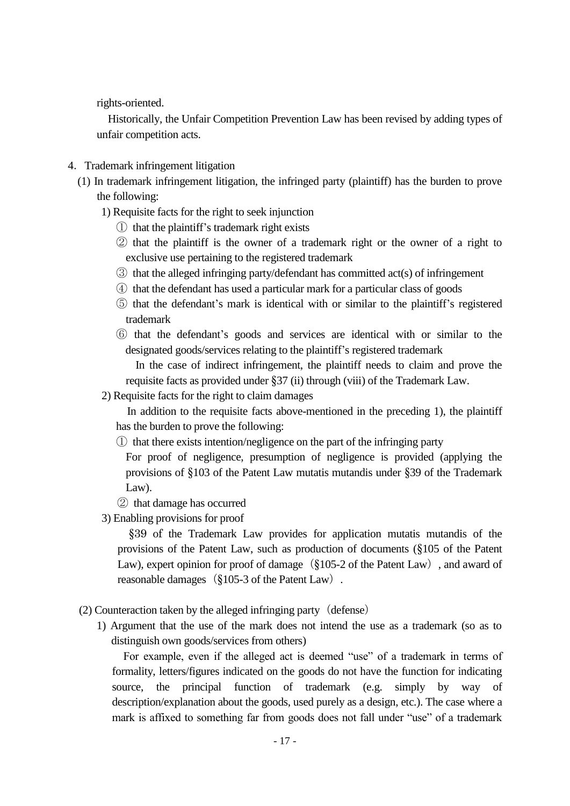rights-oriented.

Historically, the Unfair Competition Prevention Law has been revised by adding types of unfair competition acts.

- 4.Trademark infringement litigation
	- (1) In trademark infringement litigation, the infringed party (plaintiff) has the burden to prove the following:
		- 1) Requisite facts for the right to seek injunction
			- ① that the plaintiff"s trademark right exists
			- ② that the plaintiff is the owner of a trademark right or the owner of a right to exclusive use pertaining to the registered trademark
			- ③ that the alleged infringing party/defendant has committed act(s) of infringement
			- ④ that the defendant has used a particular mark for a particular class of goods
			- ⑤ that the defendant"s mark is identical with or similar to the plaintiff"s registered trademark
			- ⑥ that the defendant"s goods and services are identical with or similar to the designated goods/services relating to the plaintiff"s registered trademark

In the case of indirect infringement, the plaintiff needs to claim and prove the requisite facts as provided under §37 (ii) through (viii) of the Trademark Law.

2) Requisite facts for the right to claim damages

In addition to the requisite facts above-mentioned in the preceding 1), the plaintiff has the burden to prove the following:

① that there exists intention/negligence on the part of the infringing party

For proof of negligence, presumption of negligence is provided (applying the provisions of §103 of the Patent Law mutatis mutandis under §39 of the Trademark Law).

- ② that damage has occurred
- 3) Enabling provisions for proof

§39 of the Trademark Law provides for application mutatis mutandis of the provisions of the Patent Law, such as production of documents (§105 of the Patent Law), expert opinion for proof of damage  $(\S105-2)$  of the Patent Law), and award of reasonable damages  $(\S105-3 \text{ of the Patent Law})$ .

- (2) Counteraction taken by the alleged infringing party (defense)
	- 1) Argument that the use of the mark does not intend the use as a trademark (so as to distinguish own goods/services from others)

 For example, even if the alleged act is deemed "use" of a trademark in terms of formality, letters/figures indicated on the goods do not have the function for indicating source, the principal function of trademark (e.g. simply by way of description/explanation about the goods, used purely as a design, etc.). The case where a mark is affixed to something far from goods does not fall under "use" of a trademark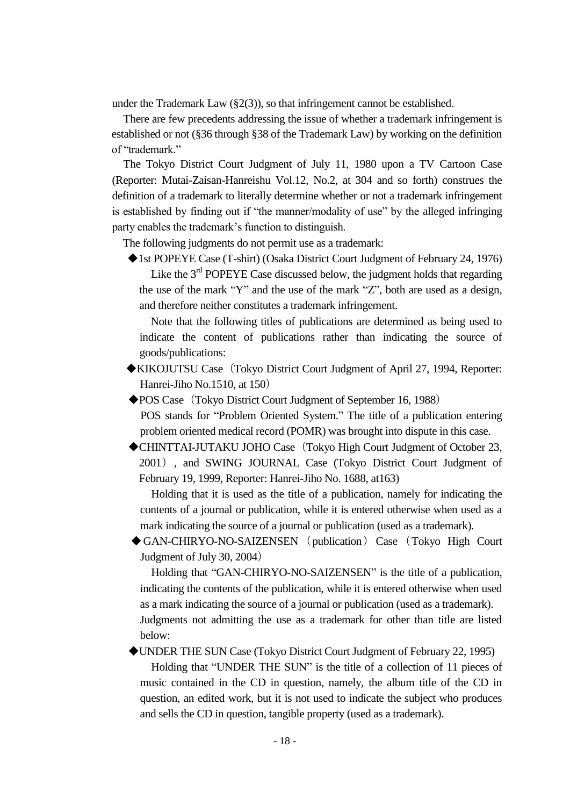under the Trademark Law  $(\S2(3))$ , so that infringement cannot be established.

 There are few precedents addressing the issue of whether a trademark infringement is established or not (§36 through §38 of the Trademark Law) by working on the definition of "trademark."

 The Tokyo District Court Judgment of July 11, 1980 upon a TV Cartoon Case (Reporter: Mutai-Zaisan-Hanreishu Vol.12, No.2, at 304 and so forth) construes the definition of a trademark to literally determine whether or not a trademark infringement is established by finding out if "the manner/modality of use" by the alleged infringing party enables the trademark"s function to distinguish.

The following judgments do not permit use as a trademark:

◆1st POPEYE Case (T-shirt) (Osaka District Court Judgment of February 24, 1976) Like the  $3<sup>rd</sup>$  POPEYE Case discussed below, the judgment holds that regarding the use of the mark "Y" and the use of the mark "Z", both are used as a design, and therefore neither constitutes a trademark infringement.

Note that the following titles of publications are determined as being used to indicate the content of publications rather than indicating the source of goods/publications:

- ◆KIKOJUTSU Case (Tokyo District Court Judgment of April 27, 1994, Reporter: Hanrei-Jiho No.1510, at 150)
- ◆POS Case (Tokyo District Court Judgment of September 16, 1988) POS stands for "Problem Oriented System." The title of a publication entering problem oriented medical record (POMR) was brought into dispute in this case.
- ◆CHINTTAI-JUTAKU JOHO Case (Tokyo High Court Judgment of October 23, 2001), and SWING JOURNAL Case (Tokyo District Court Judgment of February 19, 1999, Reporter: Hanrei-Jiho No. 1688, at163)

Holding that it is used as the title of a publication, namely for indicating the contents of a journal or publication, while it is entered otherwise when used as a mark indicating the source of a journal or publication (used as a trademark).

◆GAN-CHIRYO-NO-SAIZENSEN (publication) Case (Tokyo High Court Judgment of July 30, 2004)

Holding that "GAN-CHIRYO-NO-SAIZENSEN" is the title of a publication, indicating the contents of the publication, while it is entered otherwise when used as a mark indicating the source of a journal or publication (used as a trademark). Judgments not admitting the use as a trademark for other than title are listed below:

◆UNDER THE SUN Case (Tokyo District Court Judgment of February 22, 1995)

Holding that "UNDER THE SUN" is the title of a collection of 11 pieces of music contained in the CD in question, namely, the album title of the CD in question, an edited work, but it is not used to indicate the subject who produces and sells the CD in question, tangible property (used as a trademark).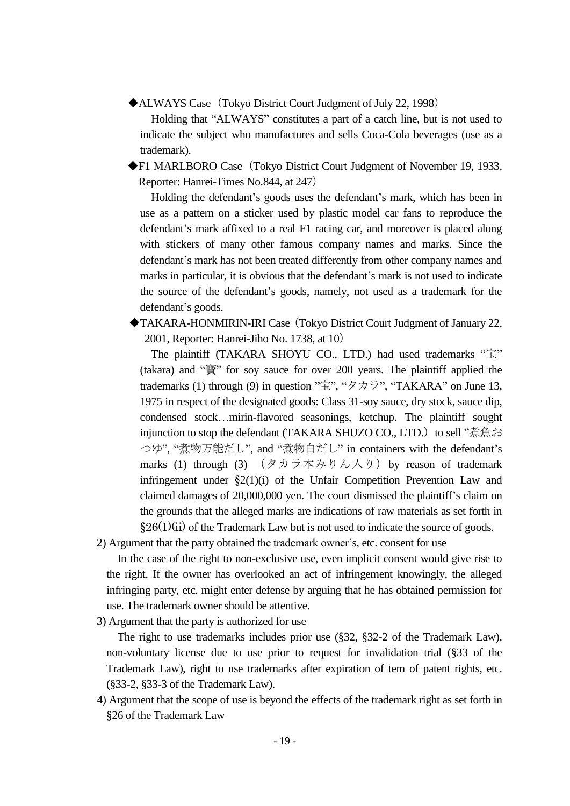◆ALWAYS Case (Tokyo District Court Judgment of July 22, 1998)

Holding that "ALWAYS" constitutes a part of a catch line, but is not used to indicate the subject who manufactures and sells Coca-Cola beverages (use as a trademark).

◆F1 MARLBORO Case (Tokyo District Court Judgment of November 19, 1933, Reporter: Hanrei-Times No.844, at 247)

Holding the defendant's goods uses the defendant's mark, which has been in use as a pattern on a sticker used by plastic model car fans to reproduce the defendant's mark affixed to a real F1 racing car, and moreover is placed along with stickers of many other famous company names and marks. Since the defendant"s mark has not been treated differently from other company names and marks in particular, it is obvious that the defendant"s mark is not used to indicate the source of the defendant"s goods, namely, not used as a trademark for the defendant's goods.

 ◆TAKARA-HONMIRIN-IRI Case(Tokyo District Court Judgment of January 22, 2001, Reporter: Hanrei-Jiho No. 1738, at 10)

The plaintiff (TAKARA SHOYU CO., LTD.) had used trademarks "宝" (takara) and "寶" for soy sauce for over 200 years. The plaintiff applied the trademarks (1) through (9) in question " $\exists$ ", " $\forall$   $\nexists$ ", "TAKARA" on June 13, 1975 in respect of the designated goods: Class 31-soy sauce, dry stock, sauce dip, condensed stock…mirin-flavored seasonings, ketchup. The plaintiff sought injunction to stop the defendant (TAKARA SHUZO CO., LTD.) to sell "煮魚お つゆ", "煮物万能だし", and "煮物白だし" in containers with the defendant"s marks (1) through (3) (タカラ本みりん入り) by reason of trademark infringement under  $\S2(1)(i)$  of the Unfair Competition Prevention Law and claimed damages of 20,000,000 yen. The court dismissed the plaintiff"s claim on the grounds that the alleged marks are indications of raw materials as set forth in  $\S 26(1)(ii)$  of the Trademark Law but is not used to indicate the source of goods.

2) Argument that the party obtained the trademark owner"s, etc. consent for use

In the case of the right to non-exclusive use, even implicit consent would give rise to the right. If the owner has overlooked an act of infringement knowingly, the alleged infringing party, etc. might enter defense by arguing that he has obtained permission for use. The trademark owner should be attentive.

3) Argument that the party is authorized for use

The right to use trademarks includes prior use (§32, §32-2 of the Trademark Law), non-voluntary license due to use prior to request for invalidation trial (§33 of the Trademark Law), right to use trademarks after expiration of tem of patent rights, etc. (§33-2, §33-3 of the Trademark Law).

4) Argument that the scope of use is beyond the effects of the trademark right as set forth in §26 of the Trademark Law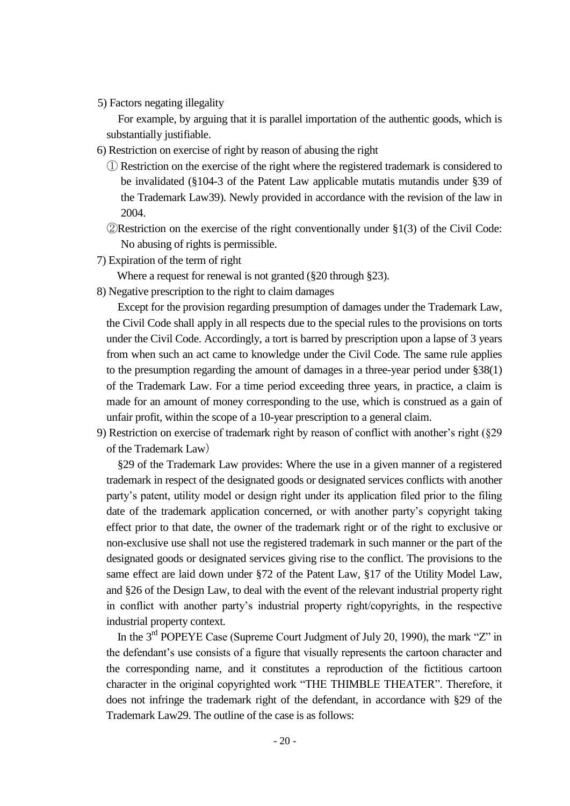5) Factors negating illegality

 For example, by arguing that it is parallel importation of the authentic goods, which is substantially justifiable.

- 6) Restriction on exercise of right by reason of abusing the right
	- ① Restriction on the exercise of the right where the registered trademark is considered to be invalidated (§104-3 of the Patent Law applicable mutatis mutandis under §39 of the Trademark Law39). Newly provided in accordance with the revision of the law in 2004.
	- ②Restriction on the exercise of the right conventionally under §1(3) of the Civil Code: No abusing of rights is permissible.
- 7) Expiration of the term of right

Where a request for renewal is not granted (§20 through §23).

8) Negative prescription to the right to claim damages

Except for the provision regarding presumption of damages under the Trademark Law, the Civil Code shall apply in all respects due to the special rules to the provisions on torts under the Civil Code. Accordingly, a tort is barred by prescription upon a lapse of 3 years from when such an act came to knowledge under the Civil Code. The same rule applies to the presumption regarding the amount of damages in a three-year period under §38(1) of the Trademark Law. For a time period exceeding three years, in practice, a claim is made for an amount of money corresponding to the use, which is construed as a gain of unfair profit, within the scope of a 10-year prescription to a general claim.

9) Restriction on exercise of trademark right by reason of conflict with another"s right (§29 of the Trademark Law)

§29 of the Trademark Law provides: Where the use in a given manner of a registered trademark in respect of the designated goods or designated services conflicts with another party"s patent, utility model or design right under its application filed prior to the filing date of the trademark application concerned, or with another party"s copyright taking effect prior to that date, the owner of the trademark right or of the right to exclusive or non-exclusive use shall not use the registered trademark in such manner or the part of the designated goods or designated services giving rise to the conflict. The provisions to the same effect are laid down under §72 of the Patent Law, §17 of the Utility Model Law, and §26 of the Design Law, to deal with the event of the relevant industrial property right in conflict with another party"s industrial property right/copyrights, in the respective industrial property context.

In the 3<sup>rd</sup> POPEYE Case (Supreme Court Judgment of July 20, 1990), the mark "Z" in the defendant"s use consists of a figure that visually represents the cartoon character and the corresponding name, and it constitutes a reproduction of the fictitious cartoon character in the original copyrighted work "THE THIMBLE THEATER". Therefore, it does not infringe the trademark right of the defendant, in accordance with §29 of the Trademark Law29. The outline of the case is as follows: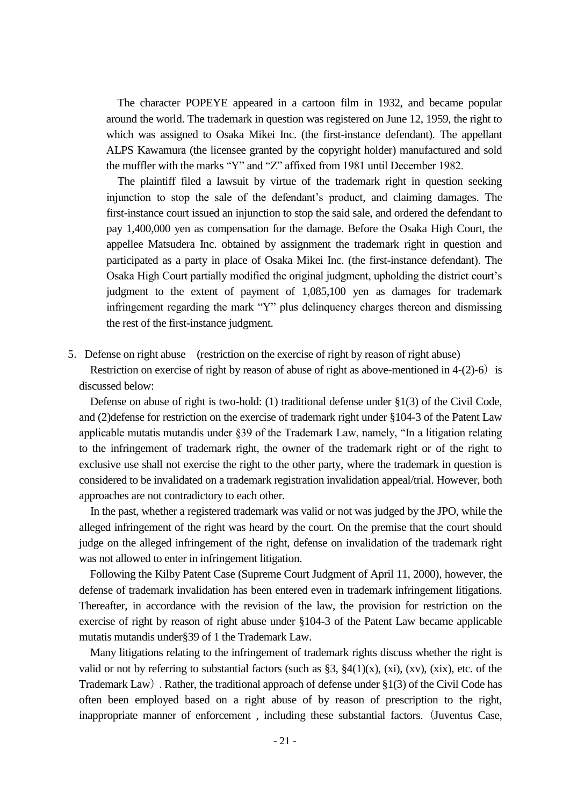The character POPEYE appeared in a cartoon film in 1932, and became popular around the world. The trademark in question was registered on June 12, 1959, the right to which was assigned to Osaka Mikei Inc. (the first-instance defendant). The appellant ALPS Kawamura (the licensee granted by the copyright holder) manufactured and sold the muffler with the marks "Y" and "Z" affixed from 1981 until December 1982.

The plaintiff filed a lawsuit by virtue of the trademark right in question seeking injunction to stop the sale of the defendant"s product, and claiming damages. The first-instance court issued an injunction to stop the said sale, and ordered the defendant to pay 1,400,000 yen as compensation for the damage. Before the Osaka High Court, the appellee Matsudera Inc. obtained by assignment the trademark right in question and participated as a party in place of Osaka Mikei Inc. (the first-instance defendant). The Osaka High Court partially modified the original judgment, upholding the district court"s judgment to the extent of payment of 1,085,100 yen as damages for trademark infringement regarding the mark "Y" plus delinquency charges thereon and dismissing the rest of the first-instance judgment.

5.Defense on right abuse (restriction on the exercise of right by reason of right abuse)

Restriction on exercise of right by reason of abuse of right as above-mentioned in  $4-(2)-6$  is discussed below:

 Defense on abuse of right is two-hold: (1) traditional defense under §1(3) of the Civil Code, and (2)defense for restriction on the exercise of trademark right under §104-3 of the Patent Law applicable mutatis mutandis under §39 of the Trademark Law, namely, "In a litigation relating to the infringement of trademark right, the owner of the trademark right or of the right to exclusive use shall not exercise the right to the other party, where the trademark in question is considered to be invalidated on a trademark registration invalidation appeal/trial. However, both approaches are not contradictory to each other.

 In the past, whether a registered trademark was valid or not was judged by the JPO, while the alleged infringement of the right was heard by the court. On the premise that the court should judge on the alleged infringement of the right, defense on invalidation of the trademark right was not allowed to enter in infringement litigation.

 Following the Kilby Patent Case (Supreme Court Judgment of April 11, 2000), however, the defense of trademark invalidation has been entered even in trademark infringement litigations. Thereafter, in accordance with the revision of the law, the provision for restriction on the exercise of right by reason of right abuse under §104-3 of the Patent Law became applicable mutatis mutandis under§39 of 1 the Trademark Law.

 Many litigations relating to the infringement of trademark rights discuss whether the right is valid or not by referring to substantial factors (such as  $\S3$ ,  $\S4(1)(x)$ ,  $(xi)$ ,  $(xv)$ ,  $(xix)$ , etc. of the Trademark Law). Rather, the traditional approach of defense under  $\S1(3)$  of the Civil Code has often been employed based on a right abuse of by reason of prescription to the right, inappropriate manner of enforcement, including these substantial factors. (Juventus Case,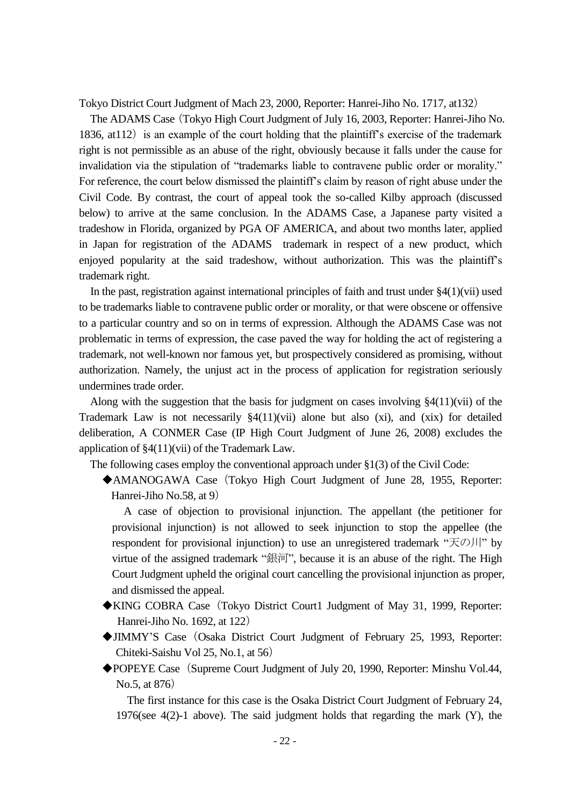Tokyo District Court Judgment of Mach 23, 2000, Reporter: Hanrei-Jiho No. 1717, at132)

The ADAMS Case (Tokyo High Court Judgment of July 16, 2003, Reporter: Hanrei-Jiho No. 1836, at  $112$ ) is an example of the court holding that the plaintiff's exercise of the trademark right is not permissible as an abuse of the right, obviously because it falls under the cause for invalidation via the stipulation of "trademarks liable to contravene public order or morality." For reference, the court below dismissed the plaintiff's claim by reason of right abuse under the Civil Code. By contrast, the court of appeal took the so-called Kilby approach (discussed below) to arrive at the same conclusion. In the ADAMS Case, a Japanese party visited a tradeshow in Florida, organized by PGA OF AMERICA, and about two months later, applied in Japan for registration of the ADAMS trademark in respect of a new product, which enjoyed popularity at the said tradeshow, without authorization. This was the plaintiff"s trademark right.

In the past, registration against international principles of faith and trust under  $\S4(1)(\n\tiii)$  used to be trademarks liable to contravene public order or morality, or that were obscene or offensive to a particular country and so on in terms of expression. Although the ADAMS Case was not problematic in terms of expression, the case paved the way for holding the act of registering a trademark, not well-known nor famous yet, but prospectively considered as promising, without authorization. Namely, the unjust act in the process of application for registration seriously undermines trade order.

 Along with the suggestion that the basis for judgment on cases involving §4(11)(vii) of the Trademark Law is not necessarily §4(11)(vii) alone but also (xi), and (xix) for detailed deliberation, A CONMER Case (IP High Court Judgment of June 26, 2008) excludes the application of §4(11)(vii) of the Trademark Law.

The following cases employ the conventional approach under §1(3) of the Civil Code:

◆AMANOGAWA Case (Tokyo High Court Judgment of June 28, 1955, Reporter: Hanrei-Jiho No.58, at 9)

A case of objection to provisional injunction. The appellant (the petitioner for provisional injunction) is not allowed to seek injunction to stop the appellee (the respondent for provisional injunction) to use an unregistered trademark " $\mathcal{F}\odot$   $||$ " by virtue of the assigned trademark "銀河", because it is an abuse of the right. The High Court Judgment upheld the original court cancelling the provisional injunction as proper, and dismissed the appeal.

- ◆KING COBRA Case (Tokyo District Court1 Judgment of May 31, 1999, Reporter: Hanrei-Jiho No. 1692, at 122)
- ◆JIMMY'S Case (Osaka District Court Judgment of February 25, 1993, Reporter: Chiteki-Saishu Vol 25, No.1, at 56)
- ◆POPEYE Case (Supreme Court Judgment of July 20, 1990, Reporter: Minshu Vol.44, No.5, at 876)

The first instance for this case is the Osaka District Court Judgment of February 24, 1976(see 4(2)-1 above). The said judgment holds that regarding the mark (Y), the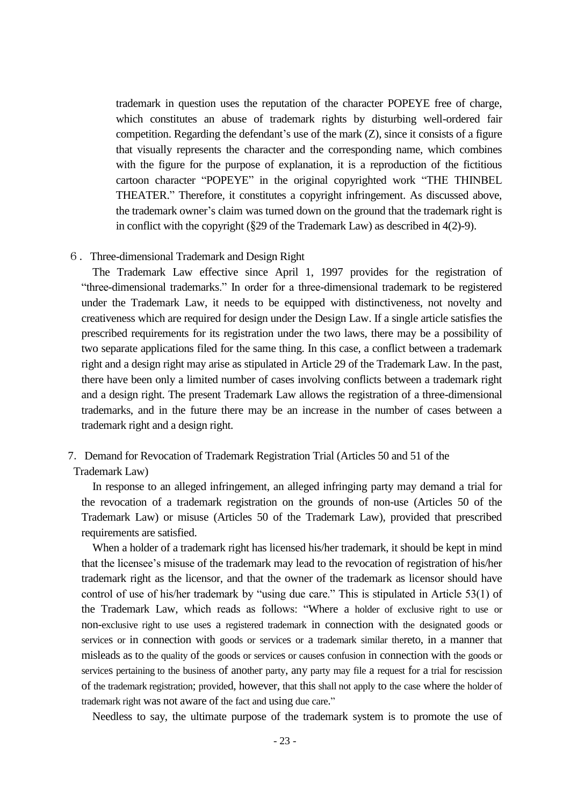trademark in question uses the reputation of the character POPEYE free of charge, which constitutes an abuse of trademark rights by disturbing well-ordered fair competition. Regarding the defendant's use of the mark  $(Z)$ , since it consists of a figure that visually represents the character and the corresponding name, which combines with the figure for the purpose of explanation, it is a reproduction of the fictitious cartoon character "POPEYE" in the original copyrighted work "THE THINBEL THEATER." Therefore, it constitutes a copyright infringement. As discussed above, the trademark owner"s claim was turned down on the ground that the trademark right is in conflict with the copyright (§29 of the Trademark Law) as described in 4(2)-9).

# 6.Three-dimensional Trademark and Design Right

The Trademark Law effective since April 1, 1997 provides for the registration of "three-dimensional trademarks." In order for a three-dimensional trademark to be registered under the Trademark Law, it needs to be equipped with distinctiveness, not novelty and creativeness which are required for design under the Design Law. If a single article satisfies the prescribed requirements for its registration under the two laws, there may be a possibility of two separate applications filed for the same thing. In this case, a conflict between a trademark right and a design right may arise as stipulated in Article 29 of the Trademark Law. In the past, there have been only a limited number of cases involving conflicts between a trademark right and a design right. The present Trademark Law allows the registration of a three-dimensional trademarks, and in the future there may be an increase in the number of cases between a trademark right and a design right.

# 7.Demand for Revocation of Trademark Registration Trial (Articles 50 and 51 of the Trademark Law)

In response to an alleged infringement, an alleged infringing party may demand a trial for the revocation of a trademark registration on the grounds of non-use (Articles 50 of the Trademark Law) or misuse (Articles 50 of the Trademark Law), provided that prescribed requirements are satisfied.

When a holder of a trademark right has licensed his/her trademark, it should be kept in mind that the licensee"s misuse of the trademark may lead to the revocation of registration of his/her trademark right as the licensor, and that the owner of the trademark as licensor should have control of use of his/her trademark by "using due care." This is stipulated in Article 53(1) of the Trademark Law, which reads as follows: "Where a holder of exclusive right to use or non-exclusive right to use uses a registered trademark in connection with the designated goods or services or in connection with goods or services or a trademark similar thereto, in a manner that misleads as to the quality of the goods or services or causes confusion in connection with the goods or services pertaining to the business of another party, any party may file a request for a trial for rescission of the trademark registration; provided, however, that this shall not apply to the case where the holder of trademark right was not aware of the fact and using due care."

Needless to say, the ultimate purpose of the trademark system is to promote the use of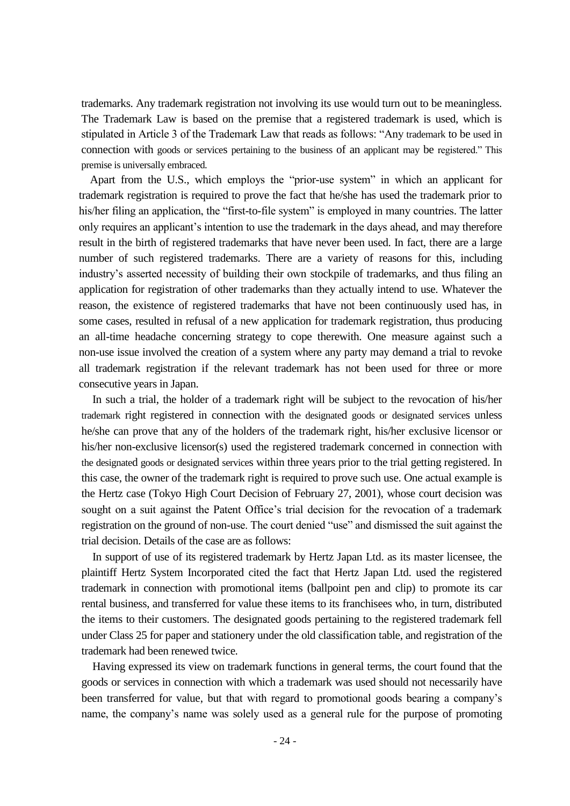trademarks. Any trademark registration not involving its use would turn out to be meaningless. The Trademark Law is based on the premise that a registered trademark is used, which is stipulated in Article 3 of the Trademark Law that reads as follows: "Any trademark to be used in connection with goods or services pertaining to the business of an applicant may be registered." This premise is universally embraced.

Apart from the U.S., which employs the "prior-use system" in which an applicant for trademark registration is required to prove the fact that he/she has used the trademark prior to his/her filing an application, the "first-to-file system" is employed in many countries. The latter only requires an applicant"s intention to use the trademark in the days ahead, and may therefore result in the birth of registered trademarks that have never been used. In fact, there are a large number of such registered trademarks. There are a variety of reasons for this, including industry"s asserted necessity of building their own stockpile of trademarks, and thus filing an application for registration of other trademarks than they actually intend to use. Whatever the reason, the existence of registered trademarks that have not been continuously used has, in some cases, resulted in refusal of a new application for trademark registration, thus producing an all-time headache concerning strategy to cope therewith. One measure against such a non-use issue involved the creation of a system where any party may demand a trial to revoke all trademark registration if the relevant trademark has not been used for three or more consecutive years in Japan.

In such a trial, the holder of a trademark right will be subject to the revocation of his/her trademark right registered in connection with the designated goods or designated services unless he/she can prove that any of the holders of the trademark right, his/her exclusive licensor or his/her non-exclusive licensor(s) used the registered trademark concerned in connection with the designated goods or designated services within three years prior to the trial getting registered. In this case, the owner of the trademark right is required to prove such use. One actual example is the Hertz case (Tokyo High Court Decision of February 27, 2001), whose court decision was sought on a suit against the Patent Office's trial decision for the revocation of a trademark registration on the ground of non-use. The court denied "use" and dismissed the suit against the trial decision. Details of the case are as follows:

In support of use of its registered trademark by Hertz Japan Ltd. as its master licensee, the plaintiff Hertz System Incorporated cited the fact that Hertz Japan Ltd. used the registered trademark in connection with promotional items (ballpoint pen and clip) to promote its car rental business, and transferred for value these items to its franchisees who, in turn, distributed the items to their customers. The designated goods pertaining to the registered trademark fell under Class 25 for paper and stationery under the old classification table, and registration of the trademark had been renewed twice.

Having expressed its view on trademark functions in general terms, the court found that the goods or services in connection with which a trademark was used should not necessarily have been transferred for value, but that with regard to promotional goods bearing a company"s name, the company"s name was solely used as a general rule for the purpose of promoting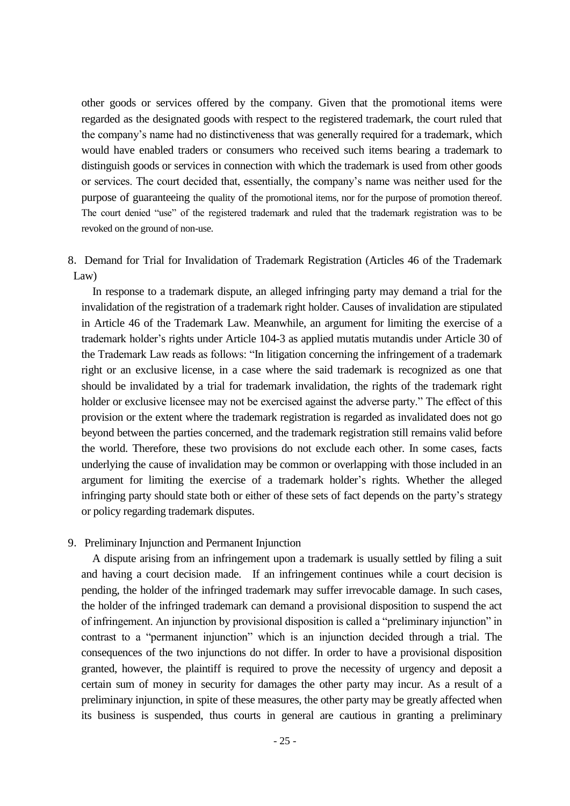other goods or services offered by the company. Given that the promotional items were regarded as the designated goods with respect to the registered trademark, the court ruled that the company"s name had no distinctiveness that was generally required for a trademark, which would have enabled traders or consumers who received such items bearing a trademark to distinguish goods or services in connection with which the trademark is used from other goods or services. The court decided that, essentially, the company"s name was neither used for the purpose of guaranteeing the quality of the promotional items, nor for the purpose of promotion thereof. The court denied "use" of the registered trademark and ruled that the trademark registration was to be revoked on the ground of non-use.

# 8.Demand for Trial for Invalidation of Trademark Registration (Articles 46 of the Trademark Law)

In response to a trademark dispute, an alleged infringing party may demand a trial for the invalidation of the registration of a trademark right holder. Causes of invalidation are stipulated in Article 46 of the Trademark Law. Meanwhile, an argument for limiting the exercise of a trademark holder"s rights under Article 104-3 as applied mutatis mutandis under Article 30 of the Trademark Law reads as follows: "In litigation concerning the infringement of a trademark right or an exclusive license, in a case where the said trademark is recognized as one that should be invalidated by a trial for trademark invalidation, the rights of the trademark right holder or exclusive licensee may not be exercised against the adverse party." The effect of this provision or the extent where the trademark registration is regarded as invalidated does not go beyond between the parties concerned, and the trademark registration still remains valid before the world. Therefore, these two provisions do not exclude each other. In some cases, facts underlying the cause of invalidation may be common or overlapping with those included in an argument for limiting the exercise of a trademark holder"s rights. Whether the alleged infringing party should state both or either of these sets of fact depends on the party"s strategy or policy regarding trademark disputes.

# 9. Preliminary Injunction and Permanent Injunction

A dispute arising from an infringement upon a trademark is usually settled by filing a suit and having a court decision made. If an infringement continues while a court decision is pending, the holder of the infringed trademark may suffer irrevocable damage. In such cases, the holder of the infringed trademark can demand a provisional disposition to suspend the act of infringement. An injunction by provisional disposition is called a "preliminary injunction" in contrast to a "permanent injunction" which is an injunction decided through a trial. The consequences of the two injunctions do not differ. In order to have a provisional disposition granted, however, the plaintiff is required to prove the necessity of urgency and deposit a certain sum of money in security for damages the other party may incur. As a result of a preliminary injunction, in spite of these measures, the other party may be greatly affected when its business is suspended, thus courts in general are cautious in granting a preliminary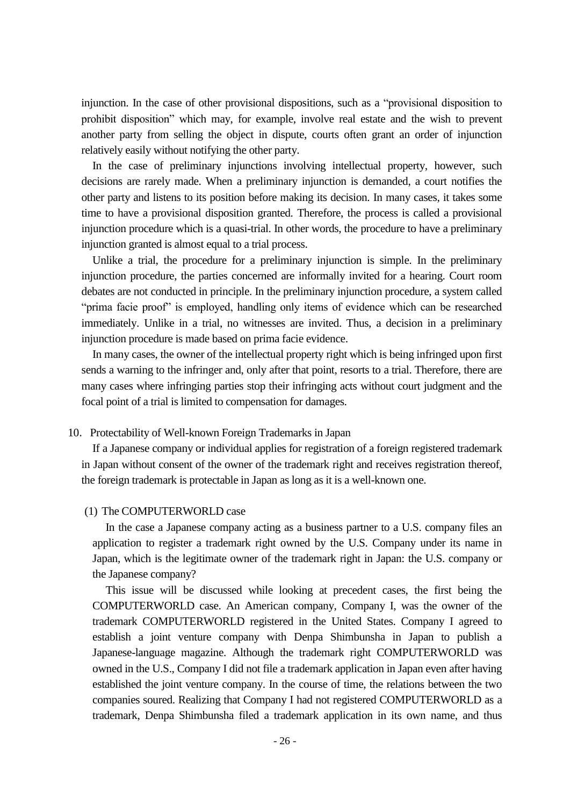injunction. In the case of other provisional dispositions, such as a "provisional disposition to prohibit disposition" which may, for example, involve real estate and the wish to prevent another party from selling the object in dispute, courts often grant an order of injunction relatively easily without notifying the other party.

In the case of preliminary injunctions involving intellectual property, however, such decisions are rarely made. When a preliminary injunction is demanded, a court notifies the other party and listens to its position before making its decision. In many cases, it takes some time to have a provisional disposition granted. Therefore, the process is called a provisional injunction procedure which is a quasi-trial. In other words, the procedure to have a preliminary injunction granted is almost equal to a trial process.

Unlike a trial, the procedure for a preliminary injunction is simple. In the preliminary injunction procedure, the parties concerned are informally invited for a hearing. Court room debates are not conducted in principle. In the preliminary injunction procedure, a system called "prima facie proof" is employed, handling only items of evidence which can be researched immediately. Unlike in a trial, no witnesses are invited. Thus, a decision in a preliminary injunction procedure is made based on prima facie evidence.

In many cases, the owner of the intellectual property right which is being infringed upon first sends a warning to the infringer and, only after that point, resorts to a trial. Therefore, there are many cases where infringing parties stop their infringing acts without court judgment and the focal point of a trial is limited to compensation for damages.

# 10. Protectability of Well-known Foreign Trademarks in Japan

If a Japanese company or individual applies for registration of a foreign registered trademark in Japan without consent of the owner of the trademark right and receives registration thereof, the foreign trademark is protectable in Japan as long as it is a well-known one.

# (1) The COMPUTERWORLD case

In the case a Japanese company acting as a business partner to a U.S. company files an application to register a trademark right owned by the U.S. Company under its name in Japan, which is the legitimate owner of the trademark right in Japan: the U.S. company or the Japanese company?

This issue will be discussed while looking at precedent cases, the first being the COMPUTERWORLD case. An American company, Company I, was the owner of the trademark COMPUTERWORLD registered in the United States. Company I agreed to establish a joint venture company with Denpa Shimbunsha in Japan to publish a Japanese-language magazine. Although the trademark right COMPUTERWORLD was owned in the U.S., Company I did not file a trademark application in Japan even after having established the joint venture company. In the course of time, the relations between the two companies soured. Realizing that Company I had not registered COMPUTERWORLD as a trademark, Denpa Shimbunsha filed a trademark application in its own name, and thus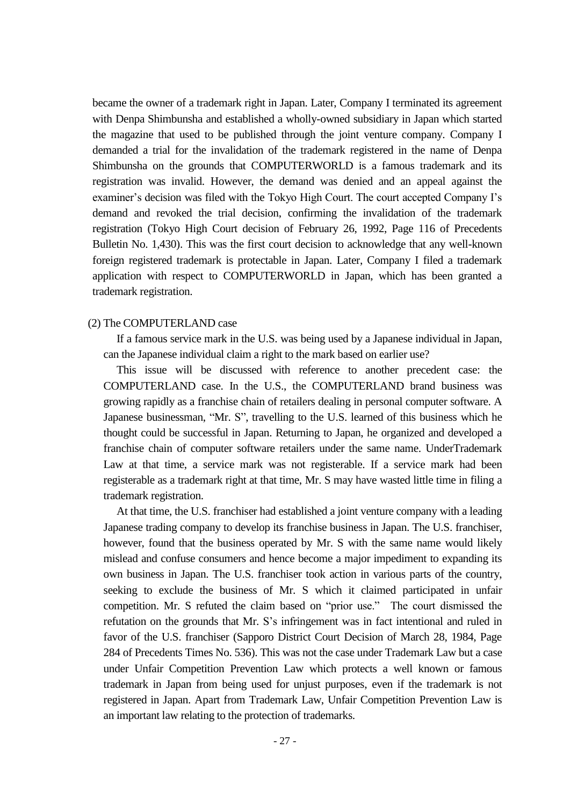became the owner of a trademark right in Japan. Later, Company I terminated its agreement with Denpa Shimbunsha and established a wholly-owned subsidiary in Japan which started the magazine that used to be published through the joint venture company. Company I demanded a trial for the invalidation of the trademark registered in the name of Denpa Shimbunsha on the grounds that COMPUTERWORLD is a famous trademark and its registration was invalid. However, the demand was denied and an appeal against the examiner's decision was filed with the Tokyo High Court. The court accepted Company I's demand and revoked the trial decision, confirming the invalidation of the trademark registration (Tokyo High Court decision of February 26, 1992, Page 116 of Precedents Bulletin No. 1,430). This was the first court decision to acknowledge that any well-known foreign registered trademark is protectable in Japan. Later, Company I filed a trademark application with respect to COMPUTERWORLD in Japan, which has been granted a trademark registration.

# (2) The COMPUTERLAND case

If a famous service mark in the U.S. was being used by a Japanese individual in Japan, can the Japanese individual claim a right to the mark based on earlier use?

This issue will be discussed with reference to another precedent case: the COMPUTERLAND case. In the U.S., the COMPUTERLAND brand business was growing rapidly as a franchise chain of retailers dealing in personal computer software. A Japanese businessman, "Mr. S", travelling to the U.S. learned of this business which he thought could be successful in Japan. Returning to Japan, he organized and developed a franchise chain of computer software retailers under the same name. UnderTrademark Law at that time, a service mark was not registerable. If a service mark had been registerable as a trademark right at that time, Mr. S may have wasted little time in filing a trademark registration.

At that time, the U.S. franchiser had established a joint venture company with a leading Japanese trading company to develop its franchise business in Japan. The U.S. franchiser, however, found that the business operated by Mr. S with the same name would likely mislead and confuse consumers and hence become a major impediment to expanding its own business in Japan. The U.S. franchiser took action in various parts of the country, seeking to exclude the business of Mr. S which it claimed participated in unfair competition. Mr. S refuted the claim based on "prior use." The court dismissed the refutation on the grounds that Mr. S"s infringement was in fact intentional and ruled in favor of the U.S. franchiser (Sapporo District Court Decision of March 28, 1984, Page 284 of Precedents Times No. 536). This was not the case under Trademark Law but a case under Unfair Competition Prevention Law which protects a well known or famous trademark in Japan from being used for unjust purposes, even if the trademark is not registered in Japan. Apart from Trademark Law, Unfair Competition Prevention Law is an important law relating to the protection of trademarks.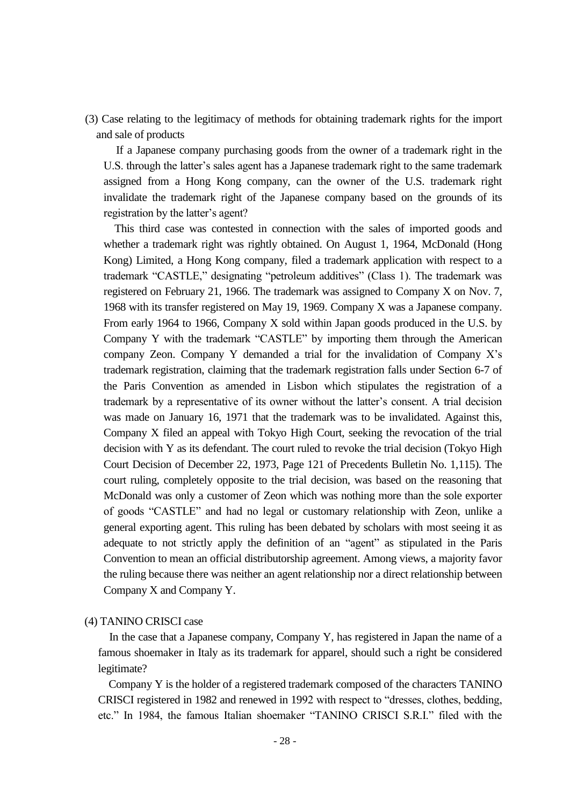(3) Case relating to the legitimacy of methods for obtaining trademark rights for the import and sale of products

If a Japanese company purchasing goods from the owner of a trademark right in the U.S. through the latter's sales agent has a Japanese trademark right to the same trademark assigned from a Hong Kong company, can the owner of the U.S. trademark right invalidate the trademark right of the Japanese company based on the grounds of its registration by the latter's agent?

This third case was contested in connection with the sales of imported goods and whether a trademark right was rightly obtained. On August 1, 1964, McDonald (Hong Kong) Limited, a Hong Kong company, filed a trademark application with respect to a trademark "CASTLE," designating "petroleum additives" (Class 1). The trademark was registered on February 21, 1966. The trademark was assigned to Company X on Nov. 7, 1968 with its transfer registered on May 19, 1969. Company X was a Japanese company. From early 1964 to 1966, Company X sold within Japan goods produced in the U.S. by Company Y with the trademark "CASTLE" by importing them through the American company Zeon. Company Y demanded a trial for the invalidation of Company X"s trademark registration, claiming that the trademark registration falls under Section 6-7 of the Paris Convention as amended in Lisbon which stipulates the registration of a trademark by a representative of its owner without the latter"s consent. A trial decision was made on January 16, 1971 that the trademark was to be invalidated. Against this, Company X filed an appeal with Tokyo High Court, seeking the revocation of the trial decision with Y as its defendant. The court ruled to revoke the trial decision (Tokyo High Court Decision of December 22, 1973, Page 121 of Precedents Bulletin No. 1,115). The court ruling, completely opposite to the trial decision, was based on the reasoning that McDonald was only a customer of Zeon which was nothing more than the sole exporter of goods "CASTLE" and had no legal or customary relationship with Zeon, unlike a general exporting agent. This ruling has been debated by scholars with most seeing it as adequate to not strictly apply the definition of an "agent" as stipulated in the Paris Convention to mean an official distributorship agreement. Among views, a majority favor the ruling because there was neither an agent relationship nor a direct relationship between Company X and Company Y.

# (4) TANINO CRISCI case

In the case that a Japanese company, Company Y, has registered in Japan the name of a famous shoemaker in Italy as its trademark for apparel, should such a right be considered legitimate?

Company Y is the holder of a registered trademark composed of the characters TANINO CRISCI registered in 1982 and renewed in 1992 with respect to "dresses, clothes, bedding, etc." In 1984, the famous Italian shoemaker "TANINO CRISCI S.R.I." filed with the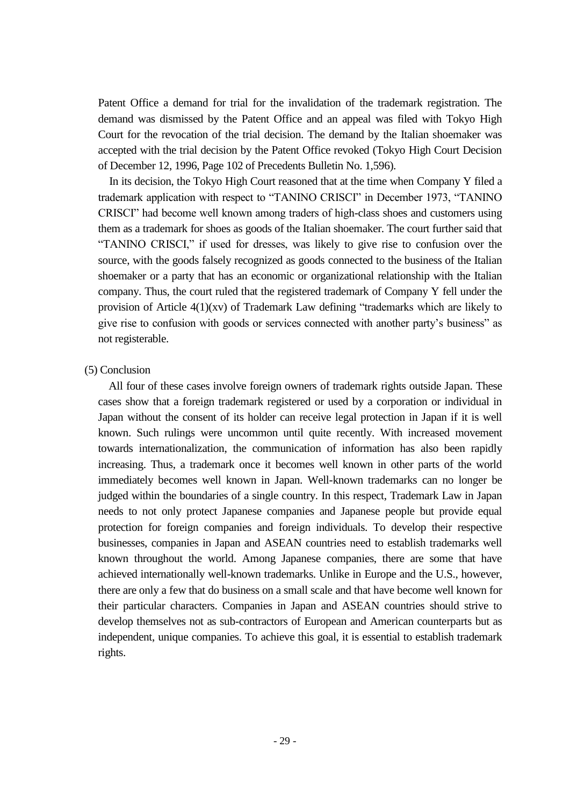Patent Office a demand for trial for the invalidation of the trademark registration. The demand was dismissed by the Patent Office and an appeal was filed with Tokyo High Court for the revocation of the trial decision. The demand by the Italian shoemaker was accepted with the trial decision by the Patent Office revoked (Tokyo High Court Decision of December 12, 1996, Page 102 of Precedents Bulletin No. 1,596).

 In its decision, the Tokyo High Court reasoned that at the time when Company Y filed a trademark application with respect to "TANINO CRISCI" in December 1973, "TANINO CRISCI" had become well known among traders of high-class shoes and customers using them as a trademark for shoes as goods of the Italian shoemaker. The court further said that "TANINO CRISCI," if used for dresses, was likely to give rise to confusion over the source, with the goods falsely recognized as goods connected to the business of the Italian shoemaker or a party that has an economic or organizational relationship with the Italian company. Thus, the court ruled that the registered trademark of Company Y fell under the provision of Article  $4(1)(xy)$  of Trademark Law defining "trademarks which are likely to give rise to confusion with goods or services connected with another party"s business" as not registerable.

# (5) Conclusion

All four of these cases involve foreign owners of trademark rights outside Japan. These cases show that a foreign trademark registered or used by a corporation or individual in Japan without the consent of its holder can receive legal protection in Japan if it is well known. Such rulings were uncommon until quite recently. With increased movement towards internationalization, the communication of information has also been rapidly increasing. Thus, a trademark once it becomes well known in other parts of the world immediately becomes well known in Japan. Well-known trademarks can no longer be judged within the boundaries of a single country. In this respect, Trademark Law in Japan needs to not only protect Japanese companies and Japanese people but provide equal protection for foreign companies and foreign individuals. To develop their respective businesses, companies in Japan and ASEAN countries need to establish trademarks well known throughout the world. Among Japanese companies, there are some that have achieved internationally well-known trademarks. Unlike in Europe and the U.S., however, there are only a few that do business on a small scale and that have become well known for their particular characters. Companies in Japan and ASEAN countries should strive to develop themselves not as sub-contractors of European and American counterparts but as independent, unique companies. To achieve this goal, it is essential to establish trademark rights.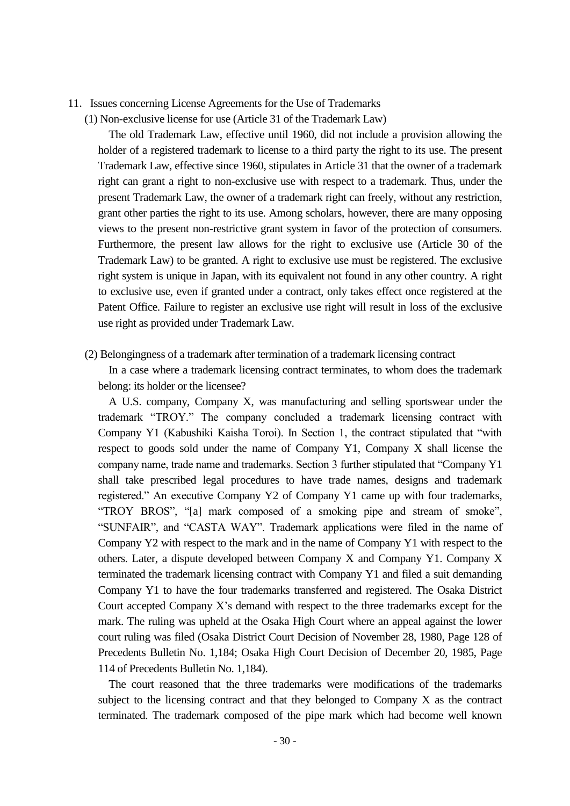- 11. Issues concerning License Agreements for the Use of Trademarks
	- (1) Non-exclusive license for use (Article 31 of the Trademark Law)

The old Trademark Law, effective until 1960, did not include a provision allowing the holder of a registered trademark to license to a third party the right to its use. The present Trademark Law, effective since 1960, stipulates in Article 31 that the owner of a trademark right can grant a right to non-exclusive use with respect to a trademark. Thus, under the present Trademark Law, the owner of a trademark right can freely, without any restriction, grant other parties the right to its use. Among scholars, however, there are many opposing views to the present non-restrictive grant system in favor of the protection of consumers. Furthermore, the present law allows for the right to exclusive use (Article 30 of the Trademark Law) to be granted. A right to exclusive use must be registered. The exclusive right system is unique in Japan, with its equivalent not found in any other country. A right to exclusive use, even if granted under a contract, only takes effect once registered at the Patent Office. Failure to register an exclusive use right will result in loss of the exclusive use right as provided under Trademark Law.

(2) Belongingness of a trademark after termination of a trademark licensing contract

In a case where a trademark licensing contract terminates, to whom does the trademark belong: its holder or the licensee?

A U.S. company, Company X, was manufacturing and selling sportswear under the trademark "TROY." The company concluded a trademark licensing contract with Company Y1 (Kabushiki Kaisha Toroi). In Section 1, the contract stipulated that "with respect to goods sold under the name of Company Y1, Company X shall license the company name, trade name and trademarks. Section 3 further stipulated that "Company Y1 shall take prescribed legal procedures to have trade names, designs and trademark registered." An executive Company Y2 of Company Y1 came up with four trademarks, "TROY BROS", "[a] mark composed of a smoking pipe and stream of smoke", "SUNFAIR", and "CASTA WAY". Trademark applications were filed in the name of Company Y2 with respect to the mark and in the name of Company Y1 with respect to the others. Later, a dispute developed between Company X and Company Y1. Company X terminated the trademark licensing contract with Company Y1 and filed a suit demanding Company Y1 to have the four trademarks transferred and registered. The Osaka District Court accepted Company X"s demand with respect to the three trademarks except for the mark. The ruling was upheld at the Osaka High Court where an appeal against the lower court ruling was filed (Osaka District Court Decision of November 28, 1980, Page 128 of Precedents Bulletin No. 1,184; Osaka High Court Decision of December 20, 1985, Page 114 of Precedents Bulletin No. 1,184).

The court reasoned that the three trademarks were modifications of the trademarks subject to the licensing contract and that they belonged to Company X as the contract terminated. The trademark composed of the pipe mark which had become well known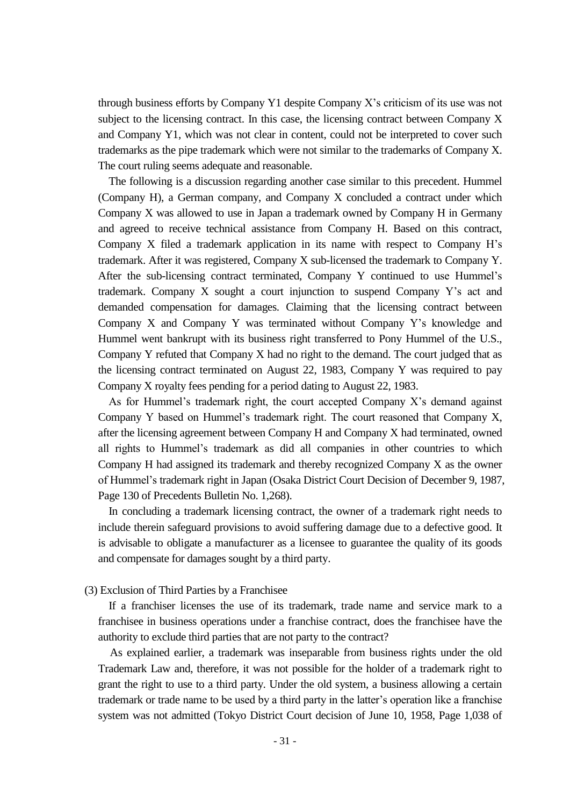through business efforts by Company Y1 despite Company X"s criticism of its use was not subject to the licensing contract. In this case, the licensing contract between Company X and Company Y1, which was not clear in content, could not be interpreted to cover such trademarks as the pipe trademark which were not similar to the trademarks of Company X. The court ruling seems adequate and reasonable.

The following is a discussion regarding another case similar to this precedent. Hummel (Company H), a German company, and Company X concluded a contract under which Company X was allowed to use in Japan a trademark owned by Company H in Germany and agreed to receive technical assistance from Company H. Based on this contract, Company X filed a trademark application in its name with respect to Company H"s trademark. After it was registered, Company X sub-licensed the trademark to Company Y. After the sub-licensing contract terminated, Company Y continued to use Hummel"s trademark. Company X sought a court injunction to suspend Company Y"s act and demanded compensation for damages. Claiming that the licensing contract between Company X and Company Y was terminated without Company Y"s knowledge and Hummel went bankrupt with its business right transferred to Pony Hummel of the U.S., Company Y refuted that Company X had no right to the demand. The court judged that as the licensing contract terminated on August 22, 1983, Company Y was required to pay Company X royalty fees pending for a period dating to August 22, 1983.

As for Hummel's trademark right, the court accepted Company X's demand against Company Y based on Hummel"s trademark right. The court reasoned that Company X, after the licensing agreement between Company H and Company X had terminated, owned all rights to Hummel"s trademark as did all companies in other countries to which Company H had assigned its trademark and thereby recognized Company X as the owner of Hummel"s trademark right in Japan (Osaka District Court Decision of December 9, 1987, Page 130 of Precedents Bulletin No. 1,268).

In concluding a trademark licensing contract, the owner of a trademark right needs to include therein safeguard provisions to avoid suffering damage due to a defective good. It is advisable to obligate a manufacturer as a licensee to guarantee the quality of its goods and compensate for damages sought by a third party.

# (3) Exclusion of Third Parties by a Franchisee

If a franchiser licenses the use of its trademark, trade name and service mark to a franchisee in business operations under a franchise contract, does the franchisee have the authority to exclude third parties that are not party to the contract?

As explained earlier, a trademark was inseparable from business rights under the old Trademark Law and, therefore, it was not possible for the holder of a trademark right to grant the right to use to a third party. Under the old system, a business allowing a certain trademark or trade name to be used by a third party in the latter"s operation like a franchise system was not admitted (Tokyo District Court decision of June 10, 1958, Page 1,038 of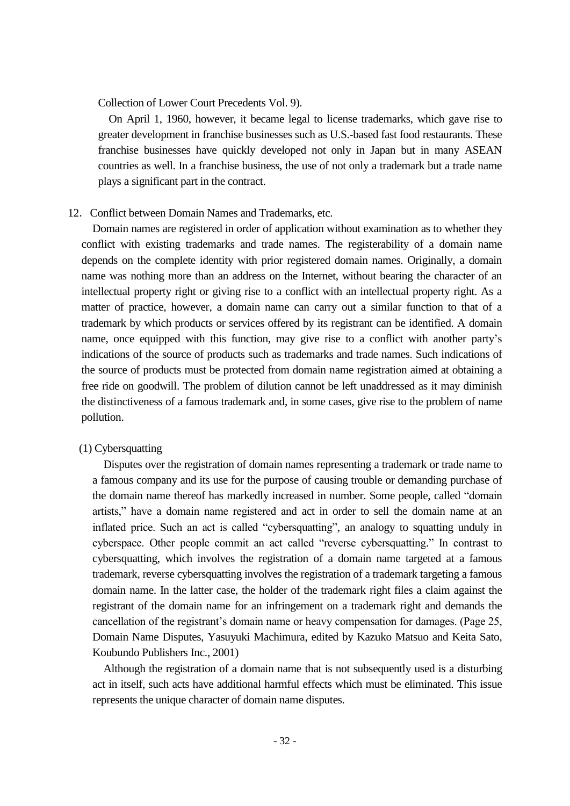Collection of Lower Court Precedents Vol. 9).

On April 1, 1960, however, it became legal to license trademarks, which gave rise to greater development in franchise businesses such as U.S.-based fast food restaurants. These franchise businesses have quickly developed not only in Japan but in many ASEAN countries as well. In a franchise business, the use of not only a trademark but a trade name plays a significant part in the contract.

#### 12. Conflict between Domain Names and Trademarks, etc.

Domain names are registered in order of application without examination as to whether they conflict with existing trademarks and trade names. The registerability of a domain name depends on the complete identity with prior registered domain names. Originally, a domain name was nothing more than an address on the Internet, without bearing the character of an intellectual property right or giving rise to a conflict with an intellectual property right. As a matter of practice, however, a domain name can carry out a similar function to that of a trademark by which products or services offered by its registrant can be identified. A domain name, once equipped with this function, may give rise to a conflict with another party's indications of the source of products such as trademarks and trade names. Such indications of the source of products must be protected from domain name registration aimed at obtaining a free ride on goodwill. The problem of dilution cannot be left unaddressed as it may diminish the distinctiveness of a famous trademark and, in some cases, give rise to the problem of name pollution.

#### (1) Cybersquatting

Disputes over the registration of domain names representing a trademark or trade name to a famous company and its use for the purpose of causing trouble or demanding purchase of the domain name thereof has markedly increased in number. Some people, called "domain artists," have a domain name registered and act in order to sell the domain name at an inflated price. Such an act is called "cybersquatting", an analogy to squatting unduly in cyberspace. Other people commit an act called "reverse cybersquatting." In contrast to cybersquatting, which involves the registration of a domain name targeted at a famous trademark, reverse cybersquatting involves the registration of a trademark targeting a famous domain name. In the latter case, the holder of the trademark right files a claim against the registrant of the domain name for an infringement on a trademark right and demands the cancellation of the registrant"s domain name or heavy compensation for damages. (Page 25, Domain Name Disputes, Yasuyuki Machimura, edited by Kazuko Matsuo and Keita Sato, Koubundo Publishers Inc., 2001)

Although the registration of a domain name that is not subsequently used is a disturbing act in itself, such acts have additional harmful effects which must be eliminated. This issue represents the unique character of domain name disputes.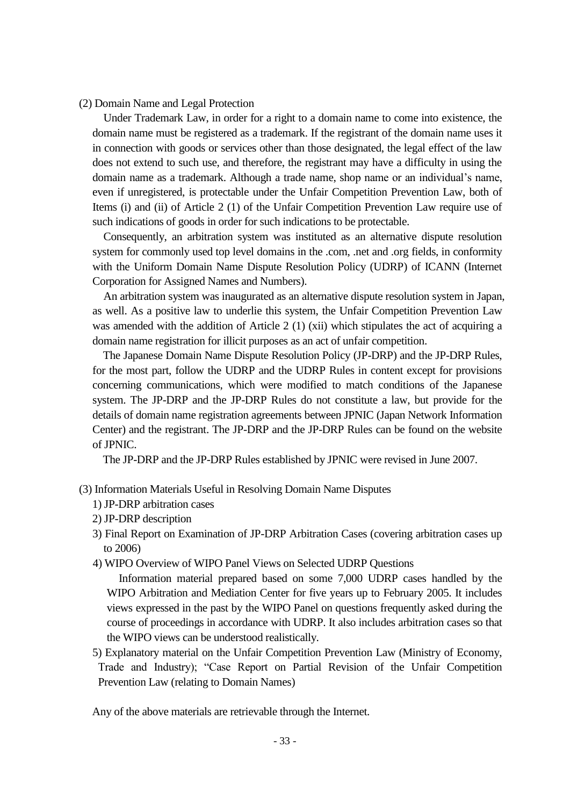# (2) Domain Name and Legal Protection

Under Trademark Law, in order for a right to a domain name to come into existence, the domain name must be registered as a trademark. If the registrant of the domain name uses it in connection with goods or services other than those designated, the legal effect of the law does not extend to such use, and therefore, the registrant may have a difficulty in using the domain name as a trademark. Although a trade name, shop name or an individual"s name, even if unregistered, is protectable under the Unfair Competition Prevention Law, both of Items (i) and (ii) of Article 2 (1) of the Unfair Competition Prevention Law require use of such indications of goods in order for such indications to be protectable.

Consequently, an arbitration system was instituted as an alternative dispute resolution system for commonly used top level domains in the .com, .net and .org fields, in conformity with the Uniform Domain Name Dispute Resolution Policy (UDRP) of ICANN (Internet Corporation for Assigned Names and Numbers).

An arbitration system was inaugurated as an alternative dispute resolution system in Japan, as well. As a positive law to underlie this system, the Unfair Competition Prevention Law was amended with the addition of Article 2 (1) (xii) which stipulates the act of acquiring a domain name registration for illicit purposes as an act of unfair competition.

The Japanese Domain Name Dispute Resolution Policy (JP-DRP) and the JP-DRP Rules, for the most part, follow the UDRP and the UDRP Rules in content except for provisions concerning communications, which were modified to match conditions of the Japanese system. The JP-DRP and the JP-DRP Rules do not constitute a law, but provide for the details of domain name registration agreements between JPNIC (Japan Network Information Center) and the registrant. The JP-DRP and the JP-DRP Rules can be found on the website of JPNIC.

The JP-DRP and the JP-DRP Rules established by JPNIC were revised in June 2007.

- (3) Information Materials Useful in Resolving Domain Name Disputes
	- 1) JP-DRP arbitration cases
	- 2) JP-DRP description
	- 3) Final Report on Examination of JP-DRP Arbitration Cases (covering arbitration cases up to 2006)
	- 4) WIPO Overview of WIPO Panel Views on Selected UDRP Questions

Information material prepared based on some 7,000 UDRP cases handled by the WIPO Arbitration and Mediation Center for five years up to February 2005. It includes views expressed in the past by the WIPO Panel on questions frequently asked during the course of proceedings in accordance with UDRP. It also includes arbitration cases so that the WIPO views can be understood realistically.

5) Explanatory material on the Unfair Competition Prevention Law (Ministry of Economy, Trade and Industry); "Case Report on Partial Revision of the Unfair Competition Prevention Law (relating to Domain Names)

Any of the above materials are retrievable through the Internet.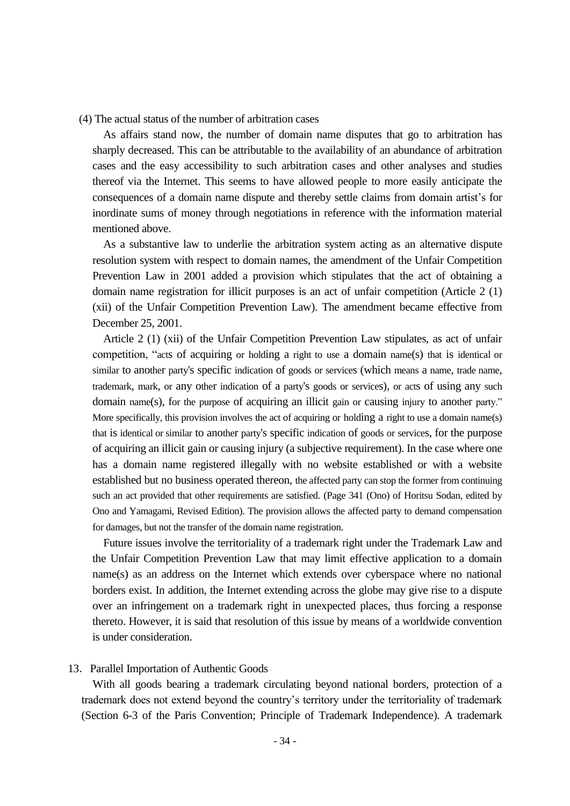(4) The actual status of the number of arbitration cases

As affairs stand now, the number of domain name disputes that go to arbitration has sharply decreased. This can be attributable to the availability of an abundance of arbitration cases and the easy accessibility to such arbitration cases and other analyses and studies thereof via the Internet. This seems to have allowed people to more easily anticipate the consequences of a domain name dispute and thereby settle claims from domain artist's for inordinate sums of money through negotiations in reference with the information material mentioned above.

As a substantive law to underlie the arbitration system acting as an alternative dispute resolution system with respect to domain names, the amendment of the Unfair Competition Prevention Law in 2001 added a provision which stipulates that the act of obtaining a domain name registration for illicit purposes is an act of unfair competition (Article 2 (1) (xii) of the Unfair Competition Prevention Law). The amendment became effective from December 25, 2001.

Article 2 (1) (xii) of the Unfair Competition Prevention Law stipulates, as act of unfair competition, "acts of acquiring or holding a right to use a domain name(s) that is identical or similar to another party's specific indication of goods or services (which means a name, trade name, trademark, mark, or any other indication of a party's goods or services), or acts of using any such domain name(s), for the purpose of acquiring an illicit gain or causing injury to another party." More specifically, this provision involves the act of acquiring or holding a right to use a domain name(s) that is identical or similar to another party's specific indication of goods or services, for the purpose of acquiring an illicit gain or causing injury (a subjective requirement). In the case where one has a domain name registered illegally with no website established or with a website established but no business operated thereon, the affected party can stop the former from continuing such an act provided that other requirements are satisfied. (Page 341 (Ono) of Horitsu Sodan, edited by Ono and Yamagami, Revised Edition). The provision allows the affected party to demand compensation for damages, but not the transfer of the domain name registration.

Future issues involve the territoriality of a trademark right under the Trademark Law and the Unfair Competition Prevention Law that may limit effective application to a domain name(s) as an address on the Internet which extends over cyberspace where no national borders exist. In addition, the Internet extending across the globe may give rise to a dispute over an infringement on a trademark right in unexpected places, thus forcing a response thereto. However, it is said that resolution of this issue by means of a worldwide convention is under consideration.

# 13. Parallel Importation of Authentic Goods

 With all goods bearing a trademark circulating beyond national borders, protection of a trademark does not extend beyond the country"s territory under the territoriality of trademark (Section 6-3 of the Paris Convention; Principle of Trademark Independence). A trademark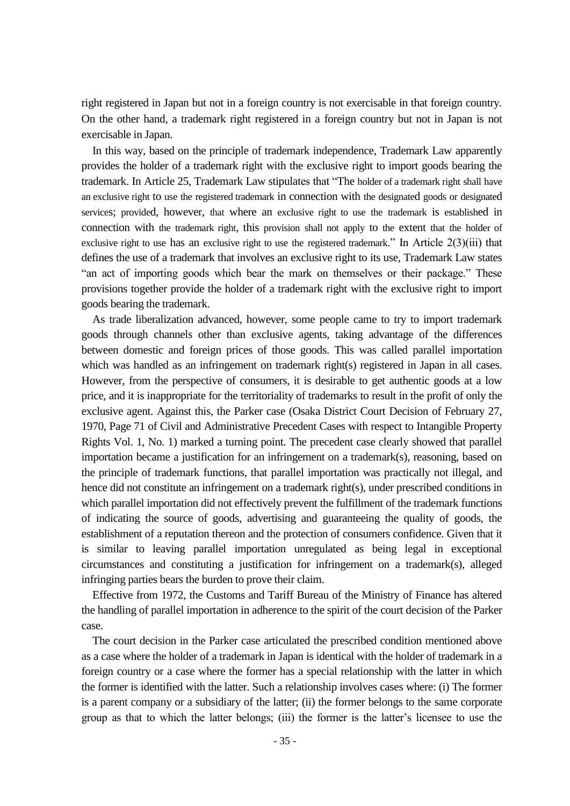right registered in Japan but not in a foreign country is not exercisable in that foreign country. On the other hand, a trademark right registered in a foreign country but not in Japan is not exercisable in Japan.

In this way, based on the principle of trademark independence, Trademark Law apparently provides the holder of a trademark right with the exclusive right to import goods bearing the trademark. In Article 25, Trademark Law stipulates that "The holder of a trademark right shall have an exclusive right to use the registered trademark in connection with the designated goods or designated services; provided, however, that where an exclusive right to use the trademark is established in connection with the trademark right, this provision shall not apply to the extent that the holder of exclusive right to use has an exclusive right to use the registered trademark." In Article  $2(3)(iii)$  that defines the use of a trademark that involves an exclusive right to its use, Trademark Law states "an act of importing goods which bear the mark on themselves or their package." These provisions together provide the holder of a trademark right with the exclusive right to import goods bearing the trademark.

As trade liberalization advanced, however, some people came to try to import trademark goods through channels other than exclusive agents, taking advantage of the differences between domestic and foreign prices of those goods. This was called parallel importation which was handled as an infringement on trademark right(s) registered in Japan in all cases. However, from the perspective of consumers, it is desirable to get authentic goods at a low price, and it is inappropriate for the territoriality of trademarks to result in the profit of only the exclusive agent. Against this, the Parker case (Osaka District Court Decision of February 27, 1970, Page 71 of Civil and Administrative Precedent Cases with respect to Intangible Property Rights Vol. 1, No. 1) marked a turning point. The precedent case clearly showed that parallel importation became a justification for an infringement on a trademark(s), reasoning, based on the principle of trademark functions, that parallel importation was practically not illegal, and hence did not constitute an infringement on a trademark right(s), under prescribed conditions in which parallel importation did not effectively prevent the fulfillment of the trademark functions of indicating the source of goods, advertising and guaranteeing the quality of goods, the establishment of a reputation thereon and the protection of consumers confidence. Given that it is similar to leaving parallel importation unregulated as being legal in exceptional circumstances and constituting a justification for infringement on a trademark(s), alleged infringing parties bears the burden to prove their claim.

Effective from 1972, the Customs and Tariff Bureau of the Ministry of Finance has altered the handling of parallel importation in adherence to the spirit of the court decision of the Parker case.

The court decision in the Parker case articulated the prescribed condition mentioned above as a case where the holder of a trademark in Japan is identical with the holder of trademark in a foreign country or a case where the former has a special relationship with the latter in which the former is identified with the latter. Such a relationship involves cases where: (i) The former is a parent company or a subsidiary of the latter; (ii) the former belongs to the same corporate group as that to which the latter belongs; (iii) the former is the latter"s licensee to use the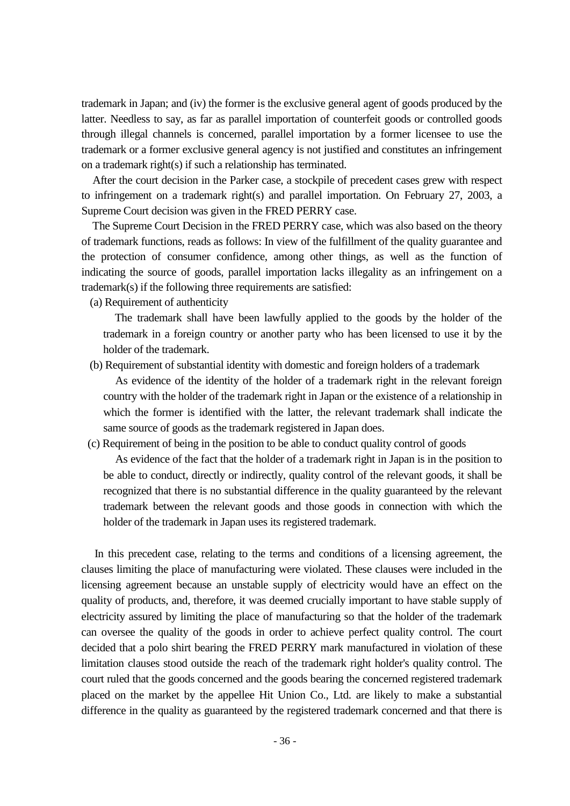trademark in Japan; and (iv) the former is the exclusive general agent of goods produced by the latter. Needless to say, as far as parallel importation of counterfeit goods or controlled goods through illegal channels is concerned, parallel importation by a former licensee to use the trademark or a former exclusive general agency is not justified and constitutes an infringement on a trademark right(s) if such a relationship has terminated.

 After the court decision in the Parker case, a stockpile of precedent cases grew with respect to infringement on a trademark right(s) and parallel importation. On February 27, 2003, a Supreme Court decision was given in the FRED PERRY case.

The Supreme Court Decision in the FRED PERRY case, which was also based on the theory of trademark functions, reads as follows: In view of the fulfillment of the quality guarantee and the protection of consumer confidence, among other things, as well as the function of indicating the source of goods, parallel importation lacks illegality as an infringement on a trademark(s) if the following three requirements are satisfied:

(a) Requirement of authenticity

 The trademark shall have been lawfully applied to the goods by the holder of the trademark in a foreign country or another party who has been licensed to use it by the holder of the trademark.

(b) Requirement of substantial identity with domestic and foreign holders of a trademark

 As evidence of the identity of the holder of a trademark right in the relevant foreign country with the holder of the trademark right in Japan or the existence of a relationship in which the former is identified with the latter, the relevant trademark shall indicate the same source of goods as the trademark registered in Japan does.

(c) Requirement of being in the position to be able to conduct quality control of goods

 As evidence of the fact that the holder of a trademark right in Japan is in the position to be able to conduct, directly or indirectly, quality control of the relevant goods, it shall be recognized that there is no substantial difference in the quality guaranteed by the relevant trademark between the relevant goods and those goods in connection with which the holder of the trademark in Japan uses its registered trademark.

In this precedent case, relating to the terms and conditions of a licensing agreement, the clauses limiting the place of manufacturing were violated. These clauses were included in the licensing agreement because an unstable supply of electricity would have an effect on the quality of products, and, therefore, it was deemed crucially important to have stable supply of electricity assured by limiting the place of manufacturing so that the holder of the trademark can oversee the quality of the goods in order to achieve perfect quality control. The court decided that a polo shirt bearing the FRED PERRY mark manufactured in violation of these limitation clauses stood outside the reach of the trademark right holder's quality control. The court ruled that the goods concerned and the goods bearing the concerned registered trademark placed on the market by the appellee Hit Union Co., Ltd. are likely to make a substantial difference in the quality as guaranteed by the registered trademark concerned and that there is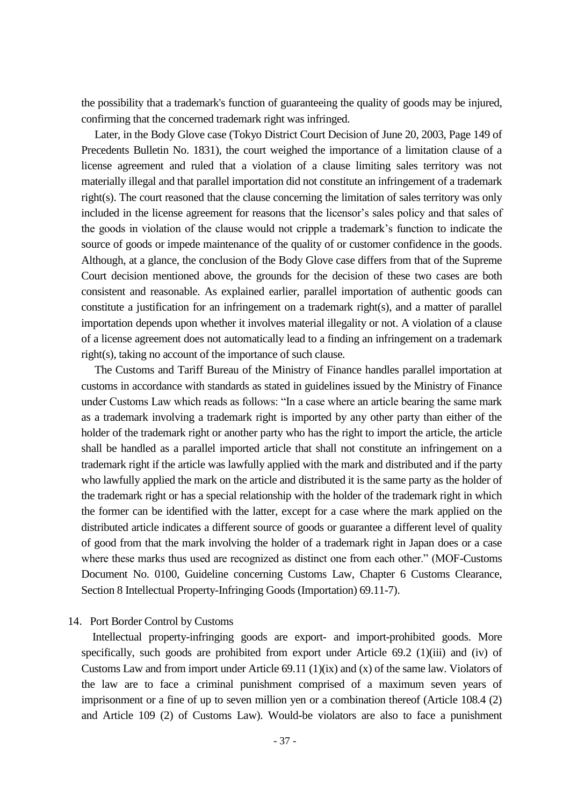the possibility that a trademark's function of guaranteeing the quality of goods may be injured, confirming that the concerned trademark right was infringed.

Later, in the Body Glove case (Tokyo District Court Decision of June 20, 2003, Page 149 of Precedents Bulletin No. 1831), the court weighed the importance of a limitation clause of a license agreement and ruled that a violation of a clause limiting sales territory was not materially illegal and that parallel importation did not constitute an infringement of a trademark right(s). The court reasoned that the clause concerning the limitation of sales territory was only included in the license agreement for reasons that the licensor's sales policy and that sales of the goods in violation of the clause would not cripple a trademark"s function to indicate the source of goods or impede maintenance of the quality of or customer confidence in the goods. Although, at a glance, the conclusion of the Body Glove case differs from that of the Supreme Court decision mentioned above, the grounds for the decision of these two cases are both consistent and reasonable. As explained earlier, parallel importation of authentic goods can constitute a justification for an infringement on a trademark right(s), and a matter of parallel importation depends upon whether it involves material illegality or not. A violation of a clause of a license agreement does not automatically lead to a finding an infringement on a trademark right(s), taking no account of the importance of such clause.

The Customs and Tariff Bureau of the Ministry of Finance handles parallel importation at customs in accordance with standards as stated in guidelines issued by the Ministry of Finance under Customs Law which reads as follows: "In a case where an article bearing the same mark as a trademark involving a trademark right is imported by any other party than either of the holder of the trademark right or another party who has the right to import the article, the article shall be handled as a parallel imported article that shall not constitute an infringement on a trademark right if the article was lawfully applied with the mark and distributed and if the party who lawfully applied the mark on the article and distributed it is the same party as the holder of the trademark right or has a special relationship with the holder of the trademark right in which the former can be identified with the latter, except for a case where the mark applied on the distributed article indicates a different source of goods or guarantee a different level of quality of good from that the mark involving the holder of a trademark right in Japan does or a case where these marks thus used are recognized as distinct one from each other." (MOF-Customs Document No. 0100, Guideline concerning Customs Law, Chapter 6 Customs Clearance, Section 8 Intellectual Property-Infringing Goods (Importation) 69.11-7).

#### 14. Port Border Control by Customs

Intellectual property-infringing goods are export- and import-prohibited goods. More specifically, such goods are prohibited from export under Article 69.2 (1)(iii) and (iv) of Customs Law and from import under Article 69.11 (1)(ix) and (x) of the same law. Violators of the law are to face a criminal punishment comprised of a maximum seven years of imprisonment or a fine of up to seven million yen or a combination thereof (Article 108.4 (2) and Article 109 (2) of Customs Law). Would-be violators are also to face a punishment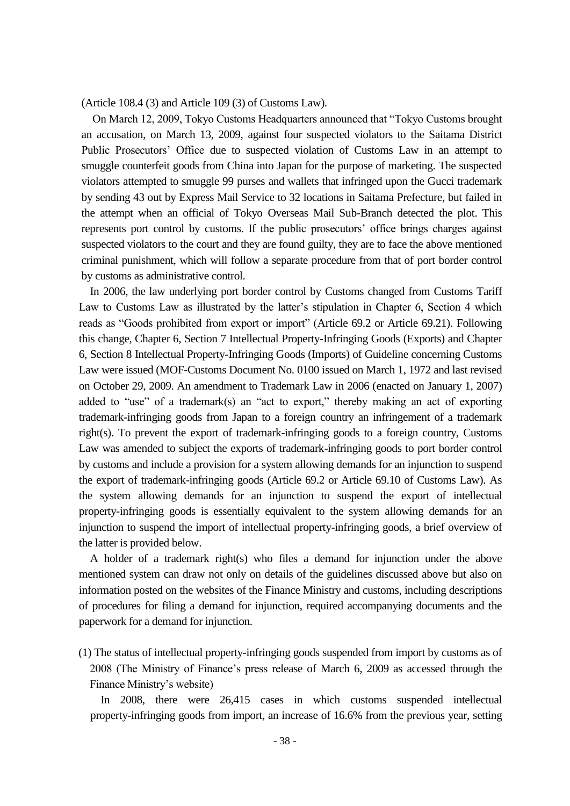(Article 108.4 (3) and Article 109 (3) of Customs Law).

On March 12, 2009, Tokyo Customs Headquarters announced that "Tokyo Customs brought an accusation, on March 13, 2009, against four suspected violators to the Saitama District Public Prosecutors" Office due to suspected violation of Customs Law in an attempt to smuggle counterfeit goods from China into Japan for the purpose of marketing. The suspected violators attempted to smuggle 99 purses and wallets that infringed upon the Gucci trademark by sending 43 out by Express Mail Service to 32 locations in Saitama Prefecture, but failed in the attempt when an official of Tokyo Overseas Mail Sub-Branch detected the plot. This represents port control by customs. If the public prosecutors" office brings charges against suspected violators to the court and they are found guilty, they are to face the above mentioned criminal punishment, which will follow a separate procedure from that of port border control by customs as administrative control.

In 2006, the law underlying port border control by Customs changed from Customs Tariff Law to Customs Law as illustrated by the latter's stipulation in Chapter 6, Section 4 which reads as "Goods prohibited from export or import" (Article 69.2 or Article 69.21). Following this change, Chapter 6, Section 7 Intellectual Property-Infringing Goods (Exports) and Chapter 6, Section 8 Intellectual Property-Infringing Goods (Imports) of Guideline concerning Customs Law were issued (MOF-Customs Document No. 0100 issued on March 1, 1972 and last revised on October 29, 2009. An amendment to Trademark Law in 2006 (enacted on January 1, 2007) added to "use" of a trademark(s) an "act to export," thereby making an act of exporting trademark-infringing goods from Japan to a foreign country an infringement of a trademark right(s). To prevent the export of trademark-infringing goods to a foreign country, Customs Law was amended to subject the exports of trademark-infringing goods to port border control by customs and include a provision for a system allowing demands for an injunction to suspend the export of trademark-infringing goods (Article 69.2 or Article 69.10 of Customs Law). As the system allowing demands for an injunction to suspend the export of intellectual property-infringing goods is essentially equivalent to the system allowing demands for an injunction to suspend the import of intellectual property-infringing goods, a brief overview of the latter is provided below.

A holder of a trademark right(s) who files a demand for injunction under the above mentioned system can draw not only on details of the guidelines discussed above but also on information posted on the websites of the Finance Ministry and customs, including descriptions of procedures for filing a demand for injunction, required accompanying documents and the paperwork for a demand for injunction.

(1) The status of intellectual property-infringing goods suspended from import by customs as of 2008 (The Ministry of Finance"s press release of March 6, 2009 as accessed through the Finance Ministry"s website)

In 2008, there were 26,415 cases in which customs suspended intellectual property-infringing goods from import, an increase of 16.6% from the previous year, setting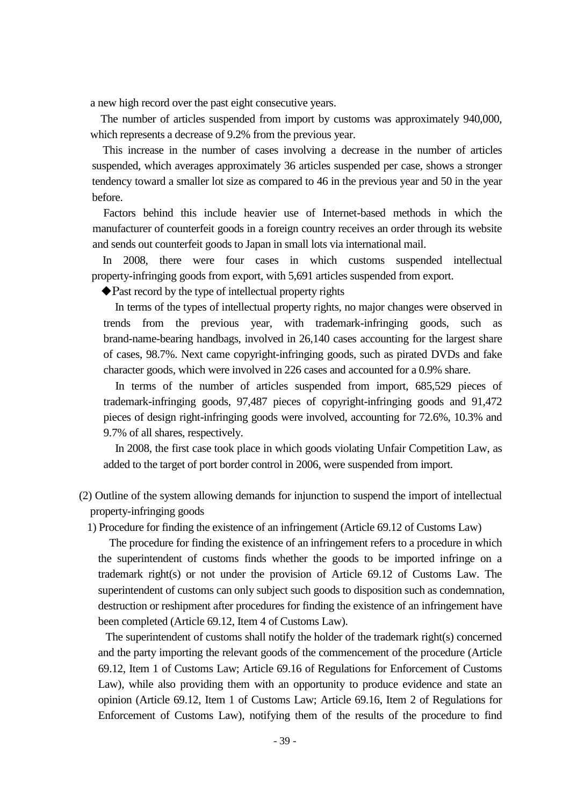a new high record over the past eight consecutive years.

The number of articles suspended from import by customs was approximately 940,000, which represents a decrease of 9.2% from the previous year.

This increase in the number of cases involving a decrease in the number of articles suspended, which averages approximately 36 articles suspended per case, shows a stronger tendency toward a smaller lot size as compared to 46 in the previous year and 50 in the year before.

Factors behind this include heavier use of Internet-based methods in which the manufacturer of counterfeit goods in a foreign country receives an order through its website and sends out counterfeit goods to Japan in small lots via international mail.

In 2008, there were four cases in which customs suspended intellectual property-infringing goods from export, with 5,691 articles suspended from export.

◆Past record by the type of intellectual property rights

 In terms of the types of intellectual property rights, no major changes were observed in trends from the previous year, with trademark-infringing goods, such as brand-name-bearing handbags, involved in 26,140 cases accounting for the largest share of cases, 98.7%. Next came copyright-infringing goods, such as pirated DVDs and fake character goods, which were involved in 226 cases and accounted for a 0.9% share.

 In terms of the number of articles suspended from import, 685,529 pieces of trademark-infringing goods, 97,487 pieces of copyright-infringing goods and 91,472 pieces of design right-infringing goods were involved, accounting for 72.6%, 10.3% and 9.7% of all shares, respectively.

 In 2008, the first case took place in which goods violating Unfair Competition Law, as added to the target of port border control in 2006, were suspended from import.

(2) Outline of the system allowing demands for injunction to suspend the import of intellectual property-infringing goods

1) Procedure for finding the existence of an infringement (Article 69.12 of Customs Law)

The procedure for finding the existence of an infringement refers to a procedure in which the superintendent of customs finds whether the goods to be imported infringe on a trademark right(s) or not under the provision of Article 69.12 of Customs Law. The superintendent of customs can only subject such goods to disposition such as condemnation, destruction or reshipment after procedures for finding the existence of an infringement have been completed (Article 69.12, Item 4 of Customs Law).

The superintendent of customs shall notify the holder of the trademark right(s) concerned and the party importing the relevant goods of the commencement of the procedure (Article 69.12, Item 1 of Customs Law; Article 69.16 of Regulations for Enforcement of Customs Law), while also providing them with an opportunity to produce evidence and state an opinion (Article 69.12, Item 1 of Customs Law; Article 69.16, Item 2 of Regulations for Enforcement of Customs Law), notifying them of the results of the procedure to find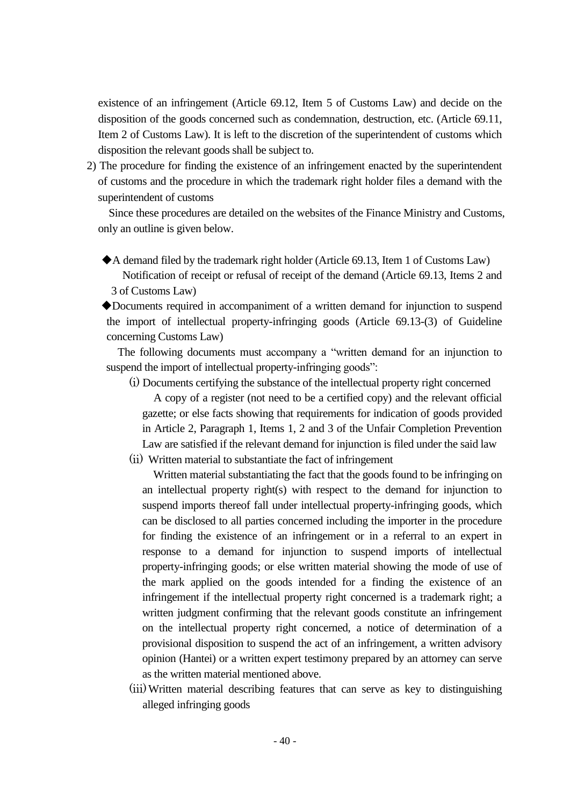existence of an infringement (Article 69.12, Item 5 of Customs Law) and decide on the disposition of the goods concerned such as condemnation, destruction, etc. (Article 69.11, Item 2 of Customs Law). It is left to the discretion of the superintendent of customs which disposition the relevant goods shall be subject to.

2) The procedure for finding the existence of an infringement enacted by the superintendent of customs and the procedure in which the trademark right holder files a demand with the superintendent of customs

Since these procedures are detailed on the websites of the Finance Ministry and Customs, only an outline is given below.

◆A demand filed by the trademark right holder (Article 69.13, Item 1 of Customs Law) Notification of receipt or refusal of receipt of the demand (Article 69.13, Items 2 and 3 of Customs Law)

◆Documents required in accompaniment of a written demand for injunction to suspend the import of intellectual property-infringing goods (Article 69.13-(3) of Guideline concerning Customs Law)

 The following documents must accompany a "written demand for an injunction to suspend the import of intellectual property-infringing goods":

- (i) Documents certifying the substance of the intellectual property right concerned A copy of a register (not need to be a certified copy) and the relevant official gazette; or else facts showing that requirements for indication of goods provided in Article 2, Paragraph 1, Items 1, 2 and 3 of the Unfair Completion Prevention Law are satisfied if the relevant demand for injunction is filed under the said law
- (ii) Written material to substantiate the fact of infringement

Written material substantiating the fact that the goods found to be infringing on an intellectual property right(s) with respect to the demand for injunction to suspend imports thereof fall under intellectual property-infringing goods, which can be disclosed to all parties concerned including the importer in the procedure for finding the existence of an infringement or in a referral to an expert in response to a demand for injunction to suspend imports of intellectual property-infringing goods; or else written material showing the mode of use of the mark applied on the goods intended for a finding the existence of an infringement if the intellectual property right concerned is a trademark right; a written judgment confirming that the relevant goods constitute an infringement on the intellectual property right concerned, a notice of determination of a provisional disposition to suspend the act of an infringement, a written advisory opinion (Hantei) or a written expert testimony prepared by an attorney can serve as the written material mentioned above.

(iii)Written material describing features that can serve as key to distinguishing alleged infringing goods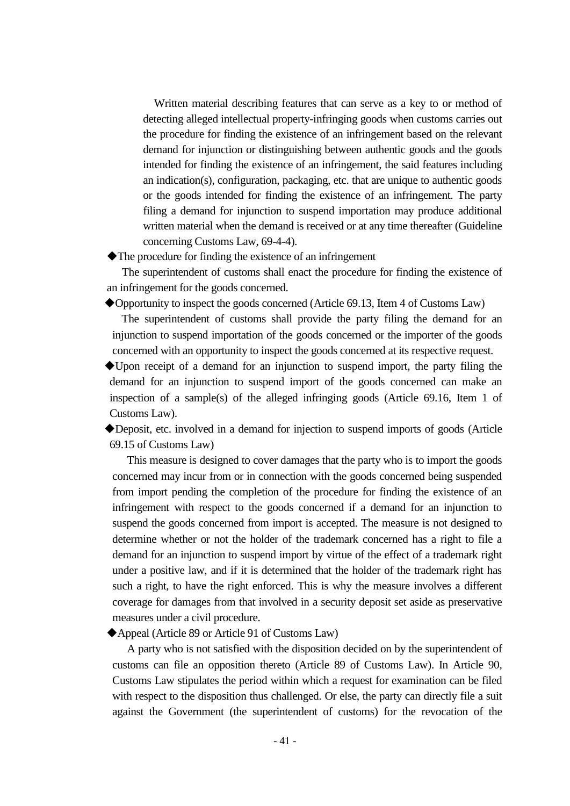Written material describing features that can serve as a key to or method of detecting alleged intellectual property-infringing goods when customs carries out the procedure for finding the existence of an infringement based on the relevant demand for injunction or distinguishing between authentic goods and the goods intended for finding the existence of an infringement, the said features including an indication(s), configuration, packaging, etc. that are unique to authentic goods or the goods intended for finding the existence of an infringement. The party filing a demand for injunction to suspend importation may produce additional written material when the demand is received or at any time thereafter (Guideline concerning Customs Law, 69-4-4).

◆The procedure for finding the existence of an infringement

The superintendent of customs shall enact the procedure for finding the existence of an infringement for the goods concerned.

◆Opportunity to inspect the goods concerned (Article 69.13, Item 4 of Customs Law)

The superintendent of customs shall provide the party filing the demand for an injunction to suspend importation of the goods concerned or the importer of the goods concerned with an opportunity to inspect the goods concerned at its respective request.

◆Upon receipt of a demand for an injunction to suspend import, the party filing the demand for an injunction to suspend import of the goods concerned can make an inspection of a sample(s) of the alleged infringing goods (Article 69.16, Item 1 of Customs Law).

◆Deposit, etc. involved in a demand for injection to suspend imports of goods (Article 69.15 of Customs Law)

This measure is designed to cover damages that the party who is to import the goods concerned may incur from or in connection with the goods concerned being suspended from import pending the completion of the procedure for finding the existence of an infringement with respect to the goods concerned if a demand for an injunction to suspend the goods concerned from import is accepted. The measure is not designed to determine whether or not the holder of the trademark concerned has a right to file a demand for an injunction to suspend import by virtue of the effect of a trademark right under a positive law, and if it is determined that the holder of the trademark right has such a right, to have the right enforced. This is why the measure involves a different coverage for damages from that involved in a security deposit set aside as preservative measures under a civil procedure.

◆Appeal (Article 89 or Article 91 of Customs Law)

A party who is not satisfied with the disposition decided on by the superintendent of customs can file an opposition thereto (Article 89 of Customs Law). In Article 90, Customs Law stipulates the period within which a request for examination can be filed with respect to the disposition thus challenged. Or else, the party can directly file a suit against the Government (the superintendent of customs) for the revocation of the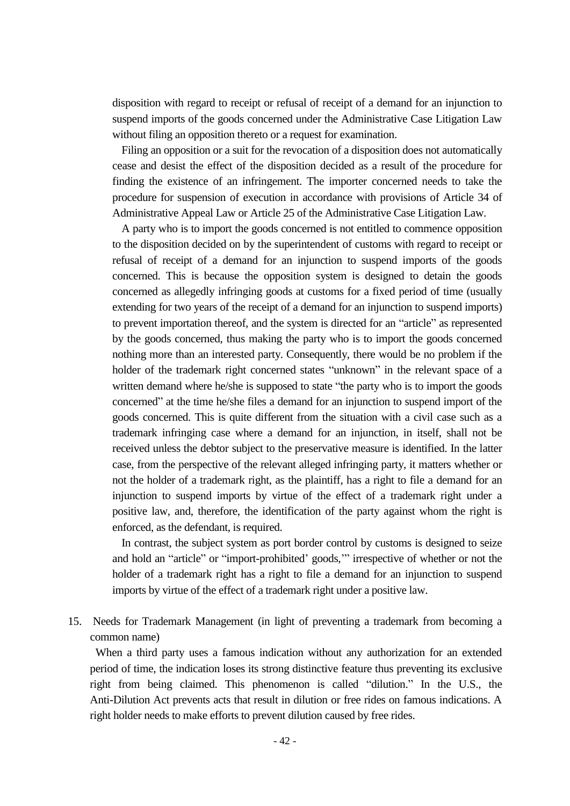disposition with regard to receipt or refusal of receipt of a demand for an injunction to suspend imports of the goods concerned under the Administrative Case Litigation Law without filing an opposition thereto or a request for examination.

Filing an opposition or a suit for the revocation of a disposition does not automatically cease and desist the effect of the disposition decided as a result of the procedure for finding the existence of an infringement. The importer concerned needs to take the procedure for suspension of execution in accordance with provisions of Article 34 of Administrative Appeal Law or Article 25 of the Administrative Case Litigation Law.

A party who is to import the goods concerned is not entitled to commence opposition to the disposition decided on by the superintendent of customs with regard to receipt or refusal of receipt of a demand for an injunction to suspend imports of the goods concerned. This is because the opposition system is designed to detain the goods concerned as allegedly infringing goods at customs for a fixed period of time (usually extending for two years of the receipt of a demand for an injunction to suspend imports) to prevent importation thereof, and the system is directed for an "article" as represented by the goods concerned, thus making the party who is to import the goods concerned nothing more than an interested party. Consequently, there would be no problem if the holder of the trademark right concerned states "unknown" in the relevant space of a written demand where he/she is supposed to state "the party who is to import the goods concerned" at the time he/she files a demand for an injunction to suspend import of the goods concerned. This is quite different from the situation with a civil case such as a trademark infringing case where a demand for an injunction, in itself, shall not be received unless the debtor subject to the preservative measure is identified. In the latter case, from the perspective of the relevant alleged infringing party, it matters whether or not the holder of a trademark right, as the plaintiff, has a right to file a demand for an injunction to suspend imports by virtue of the effect of a trademark right under a positive law, and, therefore, the identification of the party against whom the right is enforced, as the defendant, is required.

In contrast, the subject system as port border control by customs is designed to seize and hold an "article" or "import-prohibited" goods,"" irrespective of whether or not the holder of a trademark right has a right to file a demand for an injunction to suspend imports by virtue of the effect of a trademark right under a positive law.

15. Needs for Trademark Management (in light of preventing a trademark from becoming a common name)

 When a third party uses a famous indication without any authorization for an extended period of time, the indication loses its strong distinctive feature thus preventing its exclusive right from being claimed. This phenomenon is called "dilution." In the U.S., the Anti-Dilution Act prevents acts that result in dilution or free rides on famous indications. A right holder needs to make efforts to prevent dilution caused by free rides.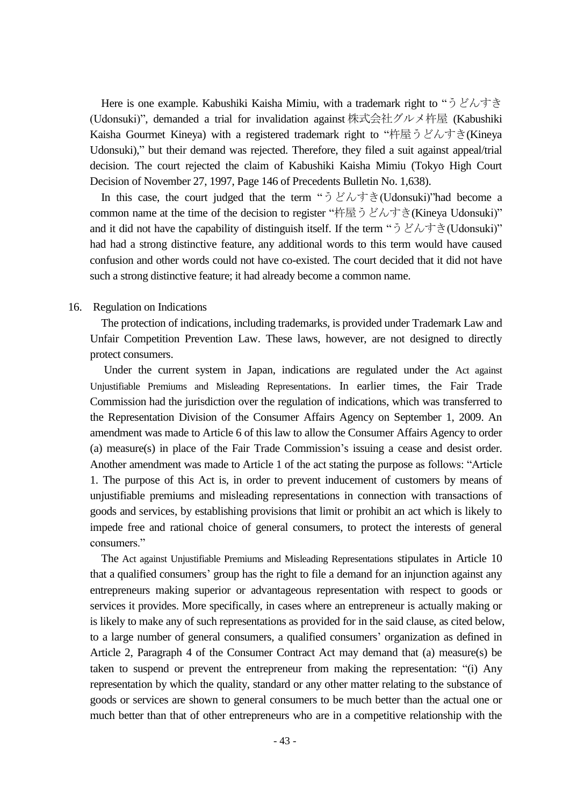Here is one example. Kabushiki Kaisha Mimiu, with a trademark right to "うどんすき (Udonsuki)", demanded a trial for invalidation against 株式会社グルメ杵屋 (Kabushiki Kaisha Gourmet Kineya) with a registered trademark right to "杵屋うどんすき(Kineya Udonsuki)," but their demand was rejected. Therefore, they filed a suit against appeal/trial decision. The court rejected the claim of Kabushiki Kaisha Mimiu (Tokyo High Court Decision of November 27, 1997, Page 146 of Precedents Bulletin No. 1,638).

In this case, the court judged that the term " $\tilde{2} \nleftrightarrow \tilde{5}$ " (Udonsuki)" had become a common name at the time of the decision to register "杵屋うどんすき(Kineya Udonsuki)" and it did not have the capability of distinguish itself. If the term " $\delta \angle \angle \angle \angle \angle \angle \angle \angle$ " had had a strong distinctive feature, any additional words to this term would have caused confusion and other words could not have co-existed. The court decided that it did not have such a strong distinctive feature; it had already become a common name.

#### 16. Regulation on Indications

 The protection of indications, including trademarks, is provided under Trademark Law and Unfair Competition Prevention Law. These laws, however, are not designed to directly protect consumers.

 Under the current system in Japan, indications are regulated under the Act against Unjustifiable Premiums and Misleading Representations. In earlier times, the Fair Trade Commission had the jurisdiction over the regulation of indications, which was transferred to the Representation Division of the Consumer Affairs Agency on September 1, 2009. An amendment was made to Article 6 of this law to allow the Consumer Affairs Agency to order (a) measure(s) in place of the Fair Trade Commission"s issuing a cease and desist order. Another amendment was made to Article 1 of the act stating the purpose as follows: "Article 1. The purpose of this Act is, in order to prevent inducement of customers by means of unjustifiable premiums and misleading representations in connection with transactions of goods and services, by establishing provisions that limit or prohibit an act which is likely to impede free and rational choice of general consumers, to protect the interests of general consumers."

 The Act against Unjustifiable Premiums and Misleading Representations stipulates in Article 10 that a qualified consumers" group has the right to file a demand for an injunction against any entrepreneurs making superior or advantageous representation with respect to goods or services it provides. More specifically, in cases where an entrepreneur is actually making or is likely to make any of such representations as provided for in the said clause, as cited below, to a large number of general consumers, a qualified consumers' organization as defined in Article 2, Paragraph 4 of the Consumer Contract Act may demand that (a) measure(s) be taken to suspend or prevent the entrepreneur from making the representation: "(i) Any representation by which the quality, standard or any other matter relating to the substance of goods or services are shown to general consumers to be much better than the actual one or much better than that of other entrepreneurs who are in a competitive relationship with the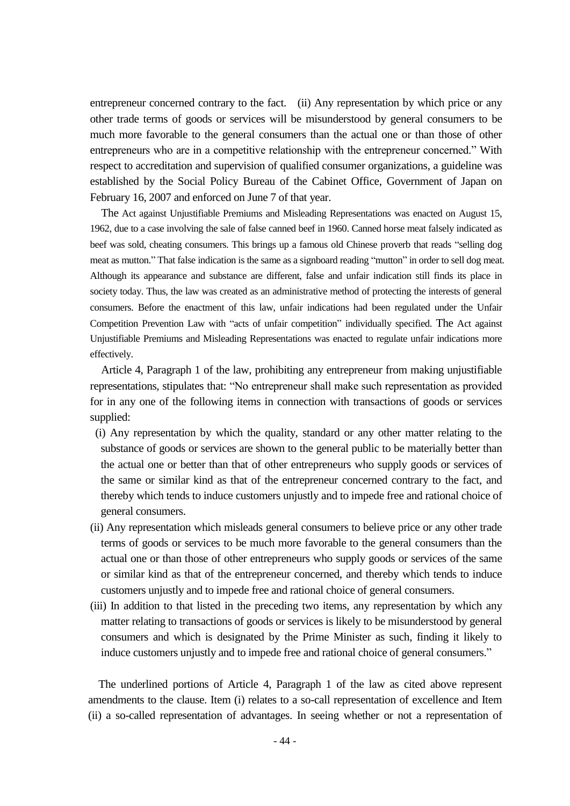entrepreneur concerned contrary to the fact. (ii) Any representation by which price or any other trade terms of goods or services will be misunderstood by general consumers to be much more favorable to the general consumers than the actual one or than those of other entrepreneurs who are in a competitive relationship with the entrepreneur concerned." With respect to accreditation and supervision of qualified consumer organizations, a guideline was established by the Social Policy Bureau of the Cabinet Office, Government of Japan on February 16, 2007 and enforced on June 7 of that year.

 The Act against Unjustifiable Premiums and Misleading Representations was enacted on August 15, 1962, due to a case involving the sale of false canned beef in 1960. Canned horse meat falsely indicated as beef was sold, cheating consumers. This brings up a famous old Chinese proverb that reads "selling dog meat as mutton." That false indication is the same as a signboard reading "mutton" in order to sell dog meat. Although its appearance and substance are different, false and unfair indication still finds its place in society today. Thus, the law was created as an administrative method of protecting the interests of general consumers. Before the enactment of this law, unfair indications had been regulated under the Unfair Competition Prevention Law with "acts of unfair competition" individually specified. The Act against Unjustifiable Premiums and Misleading Representations was enacted to regulate unfair indications more effectively.

 Article 4, Paragraph 1 of the law, prohibiting any entrepreneur from making unjustifiable representations, stipulates that: "No entrepreneur shall make such representation as provided for in any one of the following items in connection with transactions of goods or services supplied:

- (i) Any representation by which the quality, standard or any other matter relating to the substance of goods or services are shown to the general public to be materially better than the actual one or better than that of other entrepreneurs who supply goods or services of the same or similar kind as that of the entrepreneur concerned contrary to the fact, and thereby which tends to induce customers unjustly and to impede free and rational choice of general consumers.
- (ii) Any representation which misleads general consumers to believe price or any other trade terms of goods or services to be much more favorable to the general consumers than the actual one or than those of other entrepreneurs who supply goods or services of the same or similar kind as that of the entrepreneur concerned, and thereby which tends to induce customers unjustly and to impede free and rational choice of general consumers.
- (iii) In addition to that listed in the preceding two items, any representation by which any matter relating to transactions of goods or services is likely to be misunderstood by general consumers and which is designated by the Prime Minister as such, finding it likely to induce customers unjustly and to impede free and rational choice of general consumers."

The underlined portions of Article 4, Paragraph 1 of the law as cited above represent amendments to the clause. Item (i) relates to a so-call representation of excellence and Item (ii) a so-called representation of advantages. In seeing whether or not a representation of